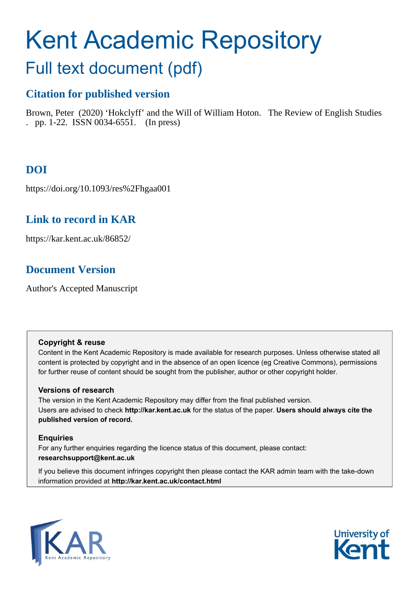# Kent Academic Repository

## Full text document (pdf)

## **Citation for published version**

Brown, Peter (2020) 'Hokclyff' and the Will of William Hoton. The Review of English Studies . pp. 1-22. ISSN 0034-6551. (In press)

## **DOI**

https://doi.org/10.1093/res%2Fhgaa001

## **Link to record in KAR**

https://kar.kent.ac.uk/86852/

## **Document Version**

Author's Accepted Manuscript

#### **Copyright & reuse**

Content in the Kent Academic Repository is made available for research purposes. Unless otherwise stated all content is protected by copyright and in the absence of an open licence (eg Creative Commons), permissions for further reuse of content should be sought from the publisher, author or other copyright holder.

#### **Versions of research**

The version in the Kent Academic Repository may differ from the final published version. Users are advised to check **http://kar.kent.ac.uk** for the status of the paper. **Users should always cite the published version of record.**

#### **Enquiries**

For any further enquiries regarding the licence status of this document, please contact: **researchsupport@kent.ac.uk**

If you believe this document infringes copyright then please contact the KAR admin team with the take-down information provided at **http://kar.kent.ac.uk/contact.html**



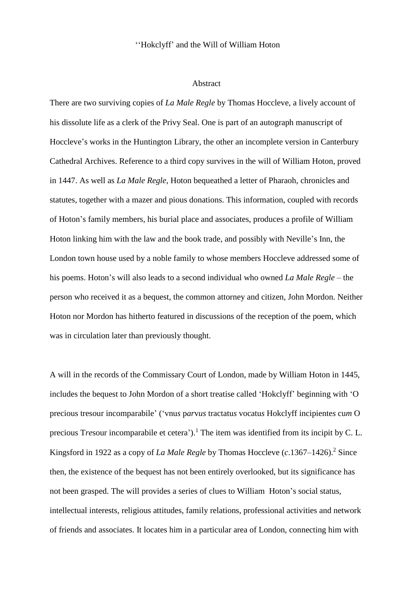#### ''Hokclyff' and the Will of William Hoton

#### Abstract

There are two surviving copies of *La Male Regle* by Thomas Hoccleve, a lively account of his dissolute life as a clerk of the Privy Seal. One is part of an autograph manuscript of Hoccleve's works in the Huntington Library, the other an incomplete version in Canterbury Cathedral Archives. Reference to a third copy survives in the will of William Hoton, proved in 1447. As well as *La Male Regle*, Hoton bequeathed a letter of Pharaoh, chronicles and statutes, together with a mazer and pious donations. This information, coupled with records of Hoton's family members, his burial place and associates, produces a profile of William Hoton linking him with the law and the book trade, and possibly with Neville's Inn, the London town house used by a noble family to whose members Hoccleve addressed some of his poems. Hoton's will also leads to a second individual who owned *La Male Regle* – the person who received it as a bequest, the common attorney and citizen, John Mordon. Neither Hoton nor Mordon has hitherto featured in discussions of the reception of the poem, which was in circulation later than previously thought.

A will in the records of the Commissary Court of London, made by William Hoton in 1445, includes the bequest to John Mordon of a short treatise called 'Hokclyff' beginning with 'O precious tresour incomparabile' ('vnu*s* p*ar*v*us* tractatu*s* vocatu*s* Hokclyff incipiente*s* cu*m* O precious Tresour incomparabile et cetera').<sup>1</sup> The item was identified from its incipit by C. L. Kingsford in 1922 as a copy of *La Male Regle* by Thomas Hoccleve (*c*.1367–1426).<sup>2</sup> Since then, the existence of the bequest has not been entirely overlooked, but its significance has not been grasped. The will provides a series of clues to William Hoton's social status, intellectual interests, religious attitudes, family relations, professional activities and network of friends and associates. It locates him in a particular area of London, connecting him with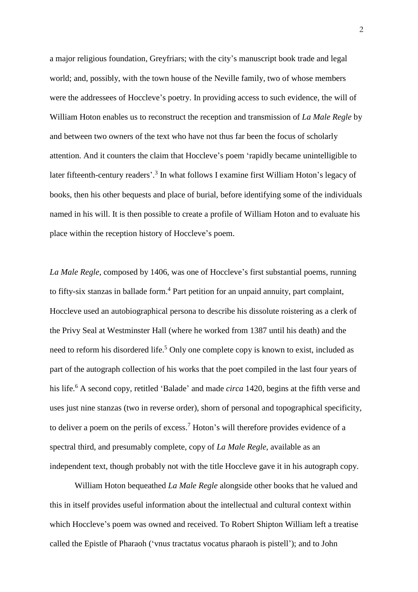a major religious foundation, Greyfriars; with the city's manuscript book trade and legal world; and, possibly, with the town house of the Neville family, two of whose members were the addressees of Hoccleve's poetry. In providing access to such evidence, the will of William Hoton enables us to reconstruct the reception and transmission of *La Male Regle* by and between two owners of the text who have not thus far been the focus of scholarly attention. And it counters the claim that Hoccleve's poem 'rapidly became unintelligible to later fifteenth-century readers'.<sup>3</sup> In what follows I examine first William Hoton's legacy of books, then his other bequests and place of burial, before identifying some of the individuals named in his will. It is then possible to create a profile of William Hoton and to evaluate his place within the reception history of Hoccleve's poem.

*La Male Regle*, composed by 1406, was one of Hoccleve's first substantial poems, running to fifty-six stanzas in ballade form.<sup>4</sup> Part petition for an unpaid annuity, part complaint, Hoccleve used an autobiographical persona to describe his dissolute roistering as a clerk of the Privy Seal at Westminster Hall (where he worked from 1387 until his death) and the need to reform his disordered life.<sup>5</sup> Only one complete copy is known to exist, included as part of the autograph collection of his works that the poet compiled in the last four years of his life. <sup>6</sup> A second copy, retitled 'Balade' and made *circa* 1420, begins at the fifth verse and uses just nine stanzas (two in reverse order), shorn of personal and topographical specificity, to deliver a poem on the perils of excess.<sup>7</sup> Hoton's will therefore provides evidence of a spectral third, and presumably complete, copy of *La Male Regle*, available as an independent text, though probably not with the title Hoccleve gave it in his autograph copy.

William Hoton bequeathed *La Male Regle* alongside other books that he valued and this in itself provides useful information about the intellectual and cultural context within which Hoccleve's poem was owned and received. To Robert Shipton William left a treatise called the Epistle of Pharaoh ('vnu*s* tractatu*s* vocatu*s* pharaoh is pistell'); and to John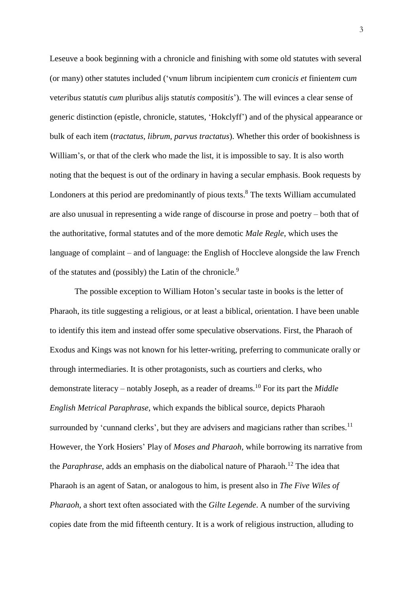Leseuve a book beginning with a chronicle and finishing with some old statutes with several (or many) other statutes included ('vnu*m* librum incipiente*m* cu*m* cronic*is et* finient*em* cu*m* vet*er*ib*us* statut*is* c*um* plurib*us* alijs statut*is* c*om*posit*is*'). The will evinces a clear sense of generic distinction (epistle, chronicle, statutes, 'Hokclyff') and of the physical appearance or bulk of each item (*tractatus*, *librum*, *parvus tractatus*). Whether this order of bookishness is William's, or that of the clerk who made the list, it is impossible to say. It is also worth noting that the bequest is out of the ordinary in having a secular emphasis. Book requests by Londoners at this period are predominantly of pious texts.<sup>8</sup> The texts William accumulated are also unusual in representing a wide range of discourse in prose and poetry – both that of the authoritative, formal statutes and of the more demotic *Male Regle*, which uses the language of complaint – and of language: the English of Hoccleve alongside the law French of the statutes and (possibly) the Latin of the chronicle.<sup>9</sup>

The possible exception to William Hoton's secular taste in books is the letter of Pharaoh, its title suggesting a religious, or at least a biblical, orientation. I have been unable to identify this item and instead offer some speculative observations. First, the Pharaoh of Exodus and Kings was not known for his letter-writing, preferring to communicate orally or through intermediaries. It is other protagonists, such as courtiers and clerks, who demonstrate literacy – notably Joseph, as a reader of dreams. <sup>10</sup> For its part the *Middle English Metrical Paraphrase*, which expands the biblical source, depicts Pharaoh surrounded by 'cunnand clerks', but they are advisers and magicians rather than scribes.<sup>11</sup> However, the York Hosiers' Play of *Moses and Pharaoh*, while borrowing its narrative from the *Paraphrase*, adds an emphasis on the diabolical nature of Pharaoh.<sup>12</sup> The idea that Pharaoh is an agent of Satan, or analogous to him, is present also in *The Five Wiles of Pharaoh*, a short text often associated with the *Gilte Legende*. A number of the surviving copies date from the mid fifteenth century. It is a work of religious instruction, alluding to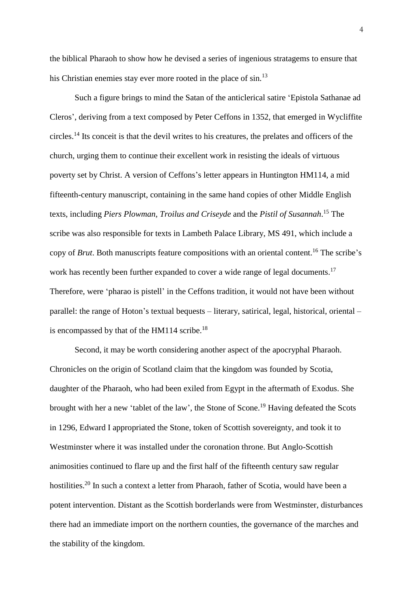the biblical Pharaoh to show how he devised a series of ingenious stratagems to ensure that his Christian enemies stay ever more rooted in the place of sin.<sup>13</sup>

Such a figure brings to mind the Satan of the anticlerical satire 'Epistola Sathanae ad Cleros', deriving from a text composed by Peter Ceffons in 1352, that emerged in Wycliffite circles.<sup>14</sup> Its conceit is that the devil writes to his creatures, the prelates and officers of the church, urging them to continue their excellent work in resisting the ideals of virtuous poverty set by Christ. A version of Ceffons's letter appears in Huntington HM114, a mid fifteenth-century manuscript, containing in the same hand copies of other Middle English texts, including *Piers Plowman*, *Troilus and Criseyde* and the *Pistil of Susannah*. <sup>15</sup> The scribe was also responsible for texts in Lambeth Palace Library, MS 491, which include a copy of *Brut*. Both manuscripts feature compositions with an oriental content.<sup>16</sup> The scribe's work has recently been further expanded to cover a wide range of legal documents.<sup>17</sup> Therefore, were 'pharao is pistell' in the Ceffons tradition, it would not have been without parallel: the range of Hoton's textual bequests – literary, satirical, legal, historical, oriental – is encompassed by that of the HM114 scribe.<sup>18</sup>

Second, it may be worth considering another aspect of the apocryphal Pharaoh. Chronicles on the origin of Scotland claim that the kingdom was founded by Scotia, daughter of the Pharaoh, who had been exiled from Egypt in the aftermath of Exodus. She brought with her a new 'tablet of the law', the Stone of Scone.<sup>19</sup> Having defeated the Scots in 1296, Edward I appropriated the Stone, token of Scottish sovereignty, and took it to Westminster where it was installed under the coronation throne. But Anglo-Scottish animosities continued to flare up and the first half of the fifteenth century saw regular hostilities.<sup>20</sup> In such a context a letter from Pharaoh, father of Scotia, would have been a potent intervention. Distant as the Scottish borderlands were from Westminster, disturbances there had an immediate import on the northern counties, the governance of the marches and the stability of the kingdom.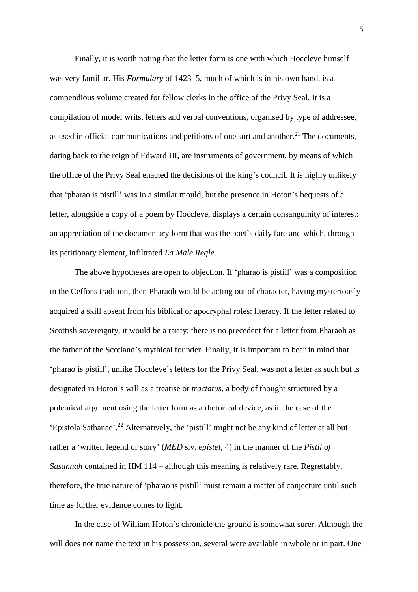Finally, it is worth noting that the letter form is one with which Hoccleve himself was very familiar. His *Formulary* of 1423–5, much of which is in his own hand, is a compendious volume created for fellow clerks in the office of the Privy Seal. It is a compilation of model writs, letters and verbal conventions, organised by type of addressee, as used in official communications and petitions of one sort and another.<sup>21</sup> The documents, dating back to the reign of Edward III, are instruments of government, by means of which the office of the Privy Seal enacted the decisions of the king's council. It is highly unlikely that 'pharao is pistill' was in a similar mould, but the presence in Hoton's bequests of a letter, alongside a copy of a poem by Hoccleve, displays a certain consanguinity of interest: an appreciation of the documentary form that was the poet's daily fare and which, through its petitionary element, infiltrated *La Male Regle*.

The above hypotheses are open to objection. If 'pharao is pistill' was a composition in the Ceffons tradition, then Pharaoh would be acting out of character, having mysteriously acquired a skill absent from his biblical or apocryphal roles: literacy. If the letter related to Scottish sovereignty, it would be a rarity: there is no precedent for a letter from Pharaoh as the father of the Scotland's mythical founder. Finally, it is important to bear in mind that 'pharao is pistill', unlike Hoccleve's letters for the Privy Seal, was not a letter as such but is designated in Hoton's will as a treatise or *tractatus*, a body of thought structured by a polemical argument using the letter form as a rhetorical device, as in the case of the 'Epistola Sathanae'. <sup>22</sup> Alternatively, the 'pistill' might not be any kind of letter at all but rather a 'written legend or story' (*MED* s.v. *epistel*, 4) in the manner of the *Pistil of Susannah* contained in HM 114 *–* although this meaning is relatively rare. Regrettably, therefore, the true nature of 'pharao is pistill' must remain a matter of conjecture until such time as further evidence comes to light.

In the case of William Hoton's chronicle the ground is somewhat surer. Although the will does not name the text in his possession, several were available in whole or in part. One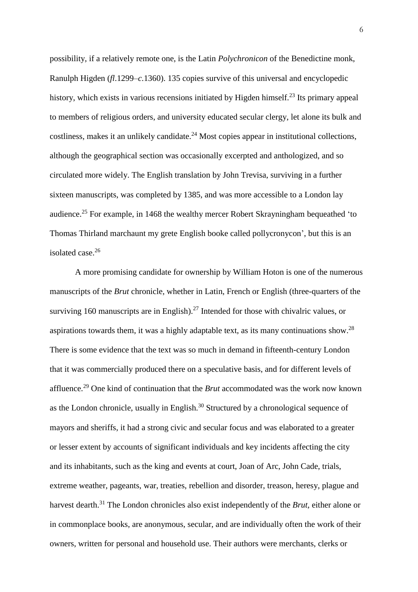possibility, if a relatively remote one, is the Latin *Polychronicon* of the Benedictine monk, Ranulph Higden (*fl*.1299–*c*.1360). 135 copies survive of this universal and encyclopedic history, which exists in various recensions initiated by Higden himself.<sup>23</sup> Its primary appeal to members of religious orders, and university educated secular clergy, let alone its bulk and costliness, makes it an unlikely candidate.<sup>24</sup> Most copies appear in institutional collections, although the geographical section was occasionally excerpted and anthologized, and so circulated more widely. The English translation by John Trevisa, surviving in a further sixteen manuscripts, was completed by 1385, and was more accessible to a London lay audience.<sup>25</sup> For example, in 1468 the wealthy mercer Robert Skrayningham bequeathed 'to Thomas Thirland marchaunt my grete English booke called pollycronycon', but this is an isolated case. 26

A more promising candidate for ownership by William Hoton is one of the numerous manuscripts of the *Brut* chronicle, whether in Latin, French or English (three-quarters of the surviving 160 manuscripts are in English). $27$  Intended for those with chivalric values, or aspirations towards them, it was a highly adaptable text, as its many continuations show.<sup>28</sup> There is some evidence that the text was so much in demand in fifteenth-century London that it was commercially produced there on a speculative basis, and for different levels of affluence.<sup>29</sup> One kind of continuation that the *Brut* accommodated was the work now known as the London chronicle, usually in English.<sup>30</sup> Structured by a chronological sequence of mayors and sheriffs, it had a strong civic and secular focus and was elaborated to a greater or lesser extent by accounts of significant individuals and key incidents affecting the city and its inhabitants, such as the king and events at court, Joan of Arc, John Cade, trials, extreme weather, pageants, war, treaties, rebellion and disorder, treason, heresy, plague and harvest dearth.<sup>31</sup> The London chronicles also exist independently of the *Brut*, either alone or in commonplace books, are anonymous, secular, and are individually often the work of their owners, written for personal and household use. Their authors were merchants, clerks or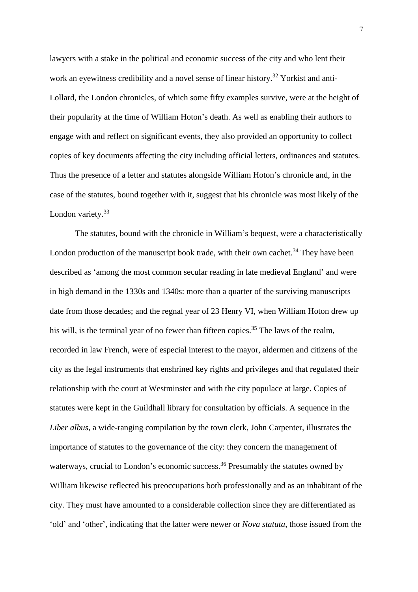lawyers with a stake in the political and economic success of the city and who lent their work an eyewitness credibility and a novel sense of linear history.<sup>32</sup> Yorkist and anti-Lollard, the London chronicles, of which some fifty examples survive, were at the height of their popularity at the time of William Hoton's death. As well as enabling their authors to engage with and reflect on significant events, they also provided an opportunity to collect copies of key documents affecting the city including official letters, ordinances and statutes. Thus the presence of a letter and statutes alongside William Hoton's chronicle and, in the case of the statutes, bound together with it, suggest that his chronicle was most likely of the London variety.<sup>33</sup>

The statutes, bound with the chronicle in William's bequest, were a characteristically London production of the manuscript book trade, with their own cachet.<sup>34</sup> They have been described as 'among the most common secular reading in late medieval England' and were in high demand in the 1330s and 1340s: more than a quarter of the surviving manuscripts date from those decades; and the regnal year of 23 Henry VI, when William Hoton drew up his will, is the terminal year of no fewer than fifteen copies.<sup>35</sup> The laws of the realm, recorded in law French, were of especial interest to the mayor, aldermen and citizens of the city as the legal instruments that enshrined key rights and privileges and that regulated their relationship with the court at Westminster and with the city populace at large. Copies of statutes were kept in the Guildhall library for consultation by officials. A sequence in the *Liber albus*, a wide-ranging compilation by the town clerk, John Carpenter, illustrates the importance of statutes to the governance of the city: they concern the management of waterways, crucial to London's economic success.<sup>36</sup> Presumably the statutes owned by William likewise reflected his preoccupations both professionally and as an inhabitant of the city. They must have amounted to a considerable collection since they are differentiated as 'old' and 'other', indicating that the latter were newer or *Nova statuta*, those issued from the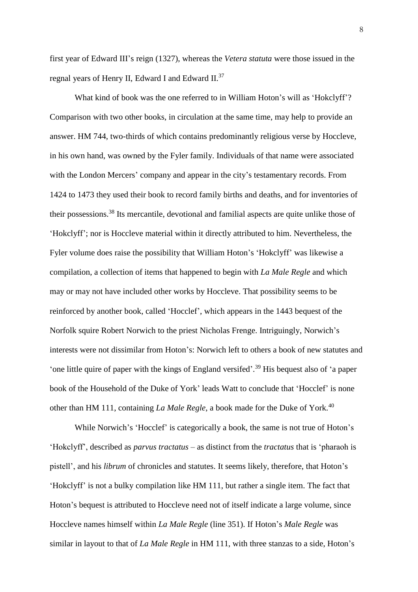first year of Edward III's reign (1327), whereas the *Vetera statuta* were those issued in the regnal years of Henry II, Edward I and Edward II.<sup>37</sup>

What kind of book was the one referred to in William Hoton's will as 'Hokclyff'? Comparison with two other books, in circulation at the same time, may help to provide an answer. HM 744, two-thirds of which contains predominantly religious verse by Hoccleve, in his own hand, was owned by the Fyler family. Individuals of that name were associated with the London Mercers' company and appear in the city's testamentary records. From 1424 to 1473 they used their book to record family births and deaths, and for inventories of their possessions.<sup>38</sup> Its mercantile, devotional and familial aspects are quite unlike those of 'Hokclyff'; nor is Hoccleve material within it directly attributed to him. Nevertheless, the Fyler volume does raise the possibility that William Hoton's 'Hokclyff' was likewise a compilation, a collection of items that happened to begin with *La Male Regle* and which may or may not have included other works by Hoccleve. That possibility seems to be reinforced by another book, called 'Hocclef', which appears in the 1443 bequest of the Norfolk squire Robert Norwich to the priest Nicholas Frenge. Intriguingly, Norwich's interests were not dissimilar from Hoton's: Norwich left to others a book of new statutes and 'one little quire of paper with the kings of England versifed'. <sup>39</sup> His bequest also of 'a paper book of the Household of the Duke of York' leads Watt to conclude that 'Hocclef' is none other than HM 111, containing *La Male Regle*, a book made for the Duke of York.<sup>40</sup>

While Norwich's 'Hocclef' is categorically a book, the same is not true of Hoton's 'Hokclyff', described as *parvus tractatus* – as distinct from the *tractatus* that is 'pharaoh is pistell', and his *librum* of chronicles and statutes. It seems likely, therefore, that Hoton's 'Hokclyff' is not a bulky compilation like HM 111, but rather a single item. The fact that Hoton's bequest is attributed to Hoccleve need not of itself indicate a large volume, since Hoccleve names himself within *La Male Regle* (line 351). If Hoton's *Male Regle* was similar in layout to that of *La Male Regle* in HM 111, with three stanzas to a side, Hoton's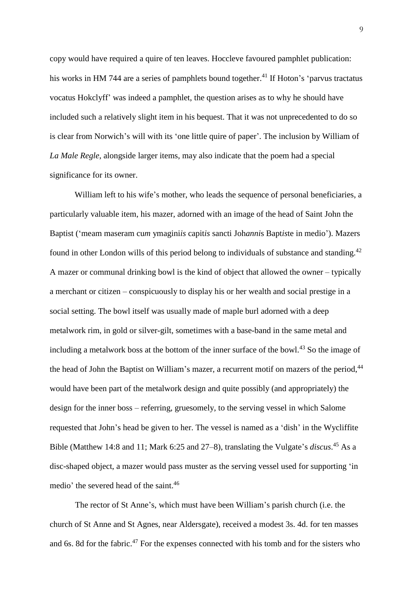copy would have required a quire of ten leaves. Hoccleve favoured pamphlet publication: his works in HM 744 are a series of pamphlets bound together.<sup>41</sup> If Hoton's 'parvus tractatus vocatus Hokclyff' was indeed a pamphlet, the question arises as to why he should have included such a relatively slight item in his bequest. That it was not unprecedented to do so is clear from Norwich's will with its 'one little quire of paper'. The inclusion by William of *La Male Regle*, alongside larger items, may also indicate that the poem had a special significance for its owner.

William left to his wife's mother, who leads the sequence of personal beneficiaries, a particularly valuable item, his mazer, adorned with an image of the head of Saint John the Baptist ('meam maseram cu*m* ymagini*is* capit*is* sancti Joh*anni*s Bapt*is*te in medio'). Mazers found in other London wills of this period belong to individuals of substance and standing.<sup>42</sup> A mazer or communal drinking bowl is the kind of object that allowed the owner – typically a merchant or citizen – conspicuously to display his or her wealth and social prestige in a social setting. The bowl itself was usually made of maple burl adorned with a deep metalwork rim, in gold or silver-gilt, sometimes with a base-band in the same metal and including a metalwork boss at the bottom of the inner surface of the bowl.<sup>43</sup> So the image of the head of John the Baptist on William's mazer, a recurrent motif on mazers of the period,<sup>44</sup> would have been part of the metalwork design and quite possibly (and appropriately) the design for the inner boss – referring, gruesomely, to the serving vessel in which Salome requested that John's head be given to her. The vessel is named as a 'dish' in the Wycliffite Bible (Matthew 14:8 and 11; Mark 6:25 and 27–8), translating the Vulgate's *discus*. <sup>45</sup> As a disc-shaped object, a mazer would pass muster as the serving vessel used for supporting 'in medio' the severed head of the saint.<sup>46</sup>

The rector of St Anne's, which must have been William's parish church (i.e. the church of St Anne and St Agnes, near Aldersgate), received a modest 3s. 4d. for ten masses and 6s. 8d for the fabric.<sup>47</sup> For the expenses connected with his tomb and for the sisters who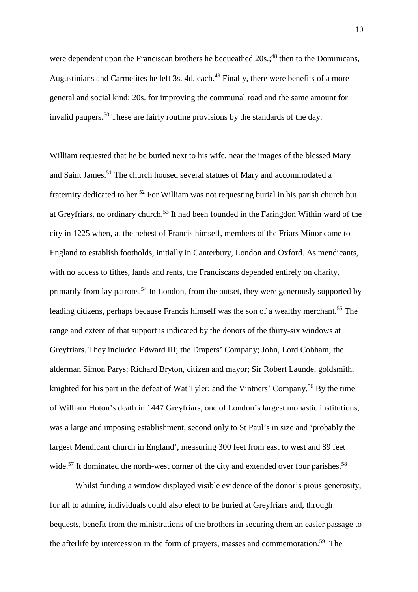were dependent upon the Franciscan brothers he bequeathed  $20s$ ;<sup>48</sup> then to the Dominicans, Augustinians and Carmelites he left 3s. 4d. each.<sup>49</sup> Finally, there were benefits of a more general and social kind: 20s. for improving the communal road and the same amount for invalid paupers.<sup>50</sup> These are fairly routine provisions by the standards of the day.

William requested that he be buried next to his wife, near the images of the blessed Mary and Saint James.<sup>51</sup> The church housed several statues of Mary and accommodated a fraternity dedicated to her.<sup>52</sup> For William was not requesting burial in his parish church but at Greyfriars, no ordinary church.<sup>53</sup> It had been founded in the Faringdon Within ward of the city in 1225 when, at the behest of Francis himself, members of the Friars Minor came to England to establish footholds, initially in Canterbury, London and Oxford. As mendicants, with no access to tithes, lands and rents, the Franciscans depended entirely on charity, primarily from lay patrons.<sup>54</sup> In London, from the outset, they were generously supported by leading citizens, perhaps because Francis himself was the son of a wealthy merchant.<sup>55</sup> The range and extent of that support is indicated by the donors of the thirty-six windows at Greyfriars. They included Edward III; the Drapers' Company; John, Lord Cobham; the alderman Simon Parys; Richard Bryton, citizen and mayor; Sir Robert Launde, goldsmith, knighted for his part in the defeat of Wat Tyler; and the Vintners' Company.<sup>56</sup> By the time of William Hoton's death in 1447 Greyfriars, one of London's largest monastic institutions, was a large and imposing establishment, second only to St Paul's in size and 'probably the largest Mendicant church in England', measuring 300 feet from east to west and 89 feet wide.<sup>57</sup> It dominated the north-west corner of the city and extended over four parishes.<sup>58</sup>

Whilst funding a window displayed visible evidence of the donor's pious generosity, for all to admire, individuals could also elect to be buried at Greyfriars and, through bequests, benefit from the ministrations of the brothers in securing them an easier passage to the afterlife by intercession in the form of prayers, masses and commemoration.<sup>59</sup> The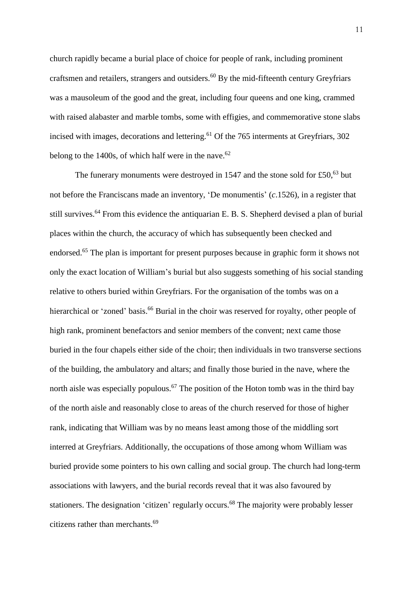church rapidly became a burial place of choice for people of rank, including prominent craftsmen and retailers, strangers and outsiders.<sup>60</sup> By the mid-fifteenth century Greyfriars was a mausoleum of the good and the great, including four queens and one king, crammed with raised alabaster and marble tombs, some with effigies, and commemorative stone slabs incised with images, decorations and lettering.<sup>61</sup> Of the 765 interments at Greyfriars, 302 belong to the  $1400s$ , of which half were in the nave.<sup>62</sup>

The funerary monuments were destroyed in 1547 and the stone sold for  $£50<sup>63</sup>$  but not before the Franciscans made an inventory, 'De monumentis' (*c*.1526), in a register that still survives.<sup>64</sup> From this evidence the antiquarian E. B. S. Shepherd devised a plan of burial places within the church, the accuracy of which has subsequently been checked and endorsed.<sup>65</sup> The plan is important for present purposes because in graphic form it shows not only the exact location of William's burial but also suggests something of his social standing relative to others buried within Greyfriars. For the organisation of the tombs was on a hierarchical or 'zoned' basis.<sup>66</sup> Burial in the choir was reserved for royalty, other people of high rank, prominent benefactors and senior members of the convent; next came those buried in the four chapels either side of the choir; then individuals in two transverse sections of the building, the ambulatory and altars; and finally those buried in the nave, where the north aisle was especially populous.<sup>67</sup> The position of the Hoton tomb was in the third bay of the north aisle and reasonably close to areas of the church reserved for those of higher rank, indicating that William was by no means least among those of the middling sort interred at Greyfriars. Additionally, the occupations of those among whom William was buried provide some pointers to his own calling and social group. The church had long-term associations with lawyers, and the burial records reveal that it was also favoured by stationers. The designation 'citizen' regularly occurs.<sup>68</sup> The majority were probably lesser citizens rather than merchants.<sup>69</sup>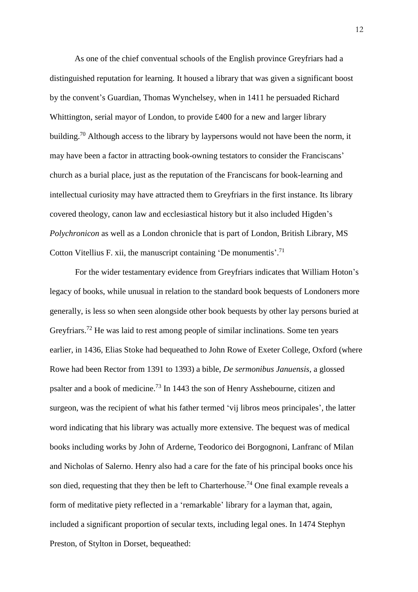As one of the chief conventual schools of the English province Greyfriars had a distinguished reputation for learning. It housed a library that was given a significant boost by the convent's Guardian, Thomas Wynchelsey, when in 1411 he persuaded Richard Whittington, serial mayor of London, to provide £400 for a new and larger library building.<sup>70</sup> Although access to the library by laypersons would not have been the norm, it may have been a factor in attracting book-owning testators to consider the Franciscans' church as a burial place, just as the reputation of the Franciscans for book-learning and intellectual curiosity may have attracted them to Greyfriars in the first instance. Its library covered theology, canon law and ecclesiastical history but it also included Higden's *Polychronicon* as well as a London chronicle that is part of London, British Library, MS Cotton Vitellius F. xii, the manuscript containing 'De monumentis'.<sup>71</sup>

For the wider testamentary evidence from Greyfriars indicates that William Hoton's legacy of books, while unusual in relation to the standard book bequests of Londoners more generally, is less so when seen alongside other book bequests by other lay persons buried at Greyfriars.<sup>72</sup> He was laid to rest among people of similar inclinations. Some ten years earlier, in 1436, Elias Stoke had bequeathed to John Rowe of Exeter College, Oxford (where Rowe had been Rector from 1391 to 1393) a bible, *De sermonibus Januensis*, a glossed psalter and a book of medicine.<sup>73</sup> In 1443 the son of Henry Asshebourne, citizen and surgeon, was the recipient of what his father termed 'vij libros meos principales', the latter word indicating that his library was actually more extensive. The bequest was of medical books including works by John of Arderne, Teodorico dei Borgognoni, Lanfranc of Milan and Nicholas of Salerno. Henry also had a care for the fate of his principal books once his son died, requesting that they then be left to Charterhouse.<sup>74</sup> One final example reveals a form of meditative piety reflected in a 'remarkable' library for a layman that, again, included a significant proportion of secular texts, including legal ones. In 1474 Stephyn Preston, of Stylton in Dorset, bequeathed: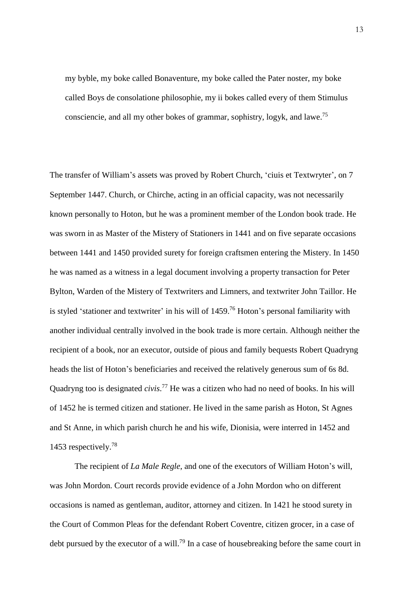my byble, my boke called Bonaventure, my boke called the Pater noster, my boke called Boys de consolatione philosophie, my ii bokes called every of them Stimulus consciencie, and all my other bokes of grammar, sophistry, logyk, and lawe.<sup>75</sup>

The transfer of William's assets was proved by Robert Church, 'ciuis et Textwryter', on 7 September 1447. Church, or Chirche, acting in an official capacity, was not necessarily known personally to Hoton, but he was a prominent member of the London book trade. He was sworn in as Master of the Mistery of Stationers in 1441 and on five separate occasions between 1441 and 1450 provided surety for foreign craftsmen entering the Mistery. In 1450 he was named as a witness in a legal document involving a property transaction for Peter Bylton, Warden of the Mistery of Textwriters and Limners, and textwriter John Taillor. He is styled 'stationer and textwriter' in his will of  $1459$ .<sup>76</sup> Hoton's personal familiarity with another individual centrally involved in the book trade is more certain. Although neither the recipient of a book, nor an executor, outside of pious and family bequests Robert Quadryng heads the list of Hoton's beneficiaries and received the relatively generous sum of 6s 8d. Quadryng too is designated *civis*. <sup>77</sup> He was a citizen who had no need of books. In his will of 1452 he is termed citizen and stationer. He lived in the same parish as Hoton, St Agnes and St Anne, in which parish church he and his wife, Dionisia, were interred in 1452 and 1453 respectively.<sup>78</sup>

The recipient of *La Male Regle*, and one of the executors of William Hoton's will, was John Mordon. Court records provide evidence of a John Mordon who on different occasions is named as gentleman, auditor, attorney and citizen. In 1421 he stood surety in the Court of Common Pleas for the defendant Robert Coventre, citizen grocer, in a case of debt pursued by the executor of a will.<sup>79</sup> In a case of housebreaking before the same court in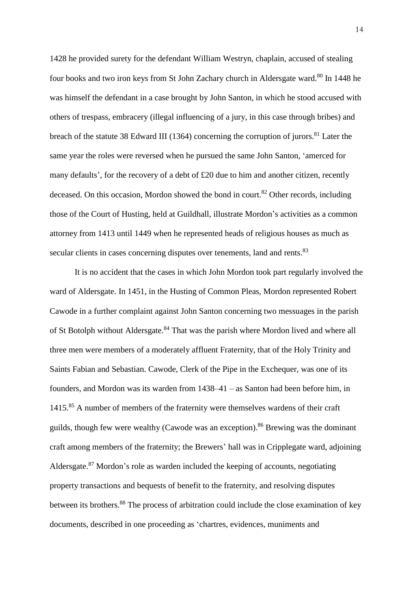1428 he provided surety for the defendant William Westryn, chaplain, accused of stealing four books and two iron keys from St John Zachary church in Aldersgate ward.<sup>80</sup> In 1448 he was himself the defendant in a case brought by John Santon, in which he stood accused with others of trespass, embracery (illegal influencing of a jury, in this case through bribes) and breach of the statute 38 Edward III (1364) concerning the corruption of jurors.<sup>81</sup> Later the same year the roles were reversed when he pursued the same John Santon, 'amerced for many defaults', for the recovery of a debt of £20 due to him and another citizen, recently deceased. On this occasion, Mordon showed the bond in court.<sup>82</sup> Other records, including those of the Court of Husting, held at Guildhall, illustrate Mordon's activities as a common attorney from 1413 until 1449 when he represented heads of religious houses as much as secular clients in cases concerning disputes over tenements, land and rents.<sup>83</sup>

It is no accident that the cases in which John Mordon took part regularly involved the ward of Aldersgate. In 1451, in the Husting of Common Pleas, Mordon represented Robert Cawode in a further complaint against John Santon concerning two messuages in the parish of St Botolph without Aldersgate.<sup>84</sup> That was the parish where Mordon lived and where all three men were members of a moderately affluent Fraternity, that of the Holy Trinity and Saints Fabian and Sebastian. Cawode, Clerk of the Pipe in the Exchequer, was one of its founders, and Mordon was its warden from 1438–41 – as Santon had been before him, in 1415.<sup>85</sup> A number of members of the fraternity were themselves wardens of their craft guilds, though few were wealthy (Cawode was an exception).<sup>86</sup> Brewing was the dominant craft among members of the fraternity; the Brewers' hall was in Cripplegate ward, adjoining Aldersgate.<sup>87</sup> Mordon's role as warden included the keeping of accounts, negotiating property transactions and bequests of benefit to the fraternity, and resolving disputes between its brothers.<sup>88</sup> The process of arbitration could include the close examination of key documents, described in one proceeding as 'chartres, evidences, muniments and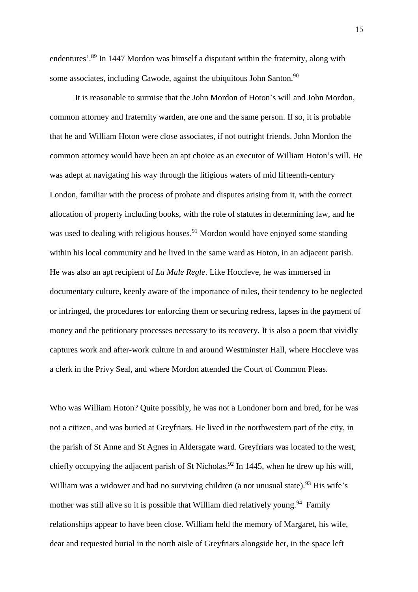endentures'.<sup>89</sup> In 1447 Mordon was himself a disputant within the fraternity, along with some associates, including Cawode, against the ubiquitous John Santon.<sup>90</sup>

It is reasonable to surmise that the John Mordon of Hoton's will and John Mordon, common attorney and fraternity warden, are one and the same person. If so, it is probable that he and William Hoton were close associates, if not outright friends. John Mordon the common attorney would have been an apt choice as an executor of William Hoton's will. He was adept at navigating his way through the litigious waters of mid fifteenth-century London, familiar with the process of probate and disputes arising from it, with the correct allocation of property including books, with the role of statutes in determining law, and he was used to dealing with religious houses.<sup>91</sup> Mordon would have enjoyed some standing within his local community and he lived in the same ward as Hoton, in an adjacent parish. He was also an apt recipient of *La Male Regle*. Like Hoccleve, he was immersed in documentary culture, keenly aware of the importance of rules, their tendency to be neglected or infringed, the procedures for enforcing them or securing redress, lapses in the payment of money and the petitionary processes necessary to its recovery. It is also a poem that vividly captures work and after-work culture in and around Westminster Hall, where Hoccleve was a clerk in the Privy Seal, and where Mordon attended the Court of Common Pleas.

Who was William Hoton? Quite possibly, he was not a Londoner born and bred, for he was not a citizen, and was buried at Greyfriars. He lived in the northwestern part of the city, in the parish of St Anne and St Agnes in Aldersgate ward. Greyfriars was located to the west, chiefly occupying the adjacent parish of St Nicholas.<sup>92</sup> In 1445, when he drew up his will, William was a widower and had no surviving children (a not unusual state).<sup>93</sup> His wife's mother was still alive so it is possible that William died relatively young.<sup>94</sup> Family relationships appear to have been close. William held the memory of Margaret, his wife, dear and requested burial in the north aisle of Greyfriars alongside her, in the space left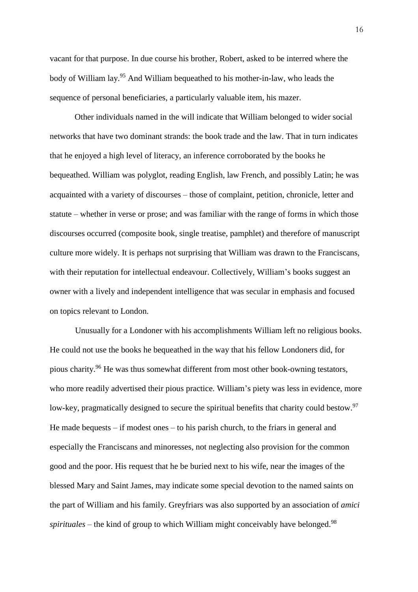vacant for that purpose. In due course his brother, Robert, asked to be interred where the body of William lay. <sup>95</sup> And William bequeathed to his mother-in-law, who leads the sequence of personal beneficiaries, a particularly valuable item, his mazer.

Other individuals named in the will indicate that William belonged to wider social networks that have two dominant strands: the book trade and the law. That in turn indicates that he enjoyed a high level of literacy, an inference corroborated by the books he bequeathed. William was polyglot, reading English, law French, and possibly Latin; he was acquainted with a variety of discourses – those of complaint, petition, chronicle, letter and statute – whether in verse or prose; and was familiar with the range of forms in which those discourses occurred (composite book, single treatise, pamphlet) and therefore of manuscript culture more widely. It is perhaps not surprising that William was drawn to the Franciscans, with their reputation for intellectual endeavour. Collectively, William's books suggest an owner with a lively and independent intelligence that was secular in emphasis and focused on topics relevant to London.

Unusually for a Londoner with his accomplishments William left no religious books. He could not use the books he bequeathed in the way that his fellow Londoners did, for pious charity.<sup>96</sup> He was thus somewhat different from most other book-owning testators, who more readily advertised their pious practice. William's piety was less in evidence, more low-key, pragmatically designed to secure the spiritual benefits that charity could bestow.<sup>97</sup> He made bequests – if modest ones – to his parish church, to the friars in general and especially the Franciscans and minoresses, not neglecting also provision for the common good and the poor. His request that he be buried next to his wife, near the images of the blessed Mary and Saint James, may indicate some special devotion to the named saints on the part of William and his family. Greyfriars was also supported by an association of *amici spirituales* – the kind of group to which William might conceivably have belonged.<sup>98</sup>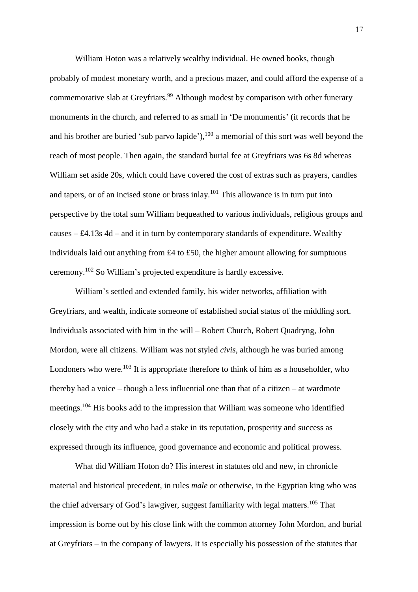William Hoton was a relatively wealthy individual. He owned books, though probably of modest monetary worth, and a precious mazer, and could afford the expense of a commemorative slab at Greyfriars.<sup>99</sup> Although modest by comparison with other funerary monuments in the church, and referred to as small in 'De monumentis' (it records that he and his brother are buried 'sub parvo lapide'), $100$  a memorial of this sort was well beyond the reach of most people. Then again, the standard burial fee at Greyfriars was 6s 8d whereas William set aside 20s, which could have covered the cost of extras such as prayers, candles and tapers, or of an incised stone or brass inlay.<sup>101</sup> This allowance is in turn put into perspective by the total sum William bequeathed to various individuals, religious groups and causes  $-$  £4.13s 4d – and it in turn by contemporary standards of expenditure. Wealthy individuals laid out anything from £4 to £50, the higher amount allowing for sumptuous ceremony.<sup>102</sup> So William's projected expenditure is hardly excessive.

William's settled and extended family, his wider networks, affiliation with Greyfriars, and wealth, indicate someone of established social status of the middling sort. Individuals associated with him in the will – Robert Church, Robert Quadryng, John Mordon, were all citizens. William was not styled *civis*, although he was buried among Londoners who were.<sup>103</sup> It is appropriate therefore to think of him as a householder, who thereby had a voice – though a less influential one than that of a citizen – at wardmote meetings.<sup>104</sup> His books add to the impression that William was someone who identified closely with the city and who had a stake in its reputation, prosperity and success as expressed through its influence, good governance and economic and political prowess.

What did William Hoton do? His interest in statutes old and new, in chronicle material and historical precedent, in rules *male* or otherwise, in the Egyptian king who was the chief adversary of God's lawgiver, suggest familiarity with legal matters.<sup>105</sup> That impression is borne out by his close link with the common attorney John Mordon, and burial at Greyfriars – in the company of lawyers. It is especially his possession of the statutes that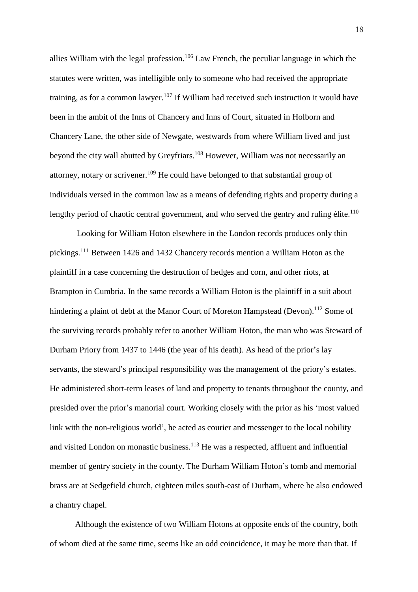allies William with the legal profession.<sup>106</sup> Law French, the peculiar language in which the statutes were written, was intelligible only to someone who had received the appropriate training, as for a common lawyer.<sup>107</sup> If William had received such instruction it would have been in the ambit of the Inns of Chancery and Inns of Court, situated in Holborn and Chancery Lane, the other side of Newgate, westwards from where William lived and just beyond the city wall abutted by Greyfriars.<sup>108</sup> However, William was not necessarily an attorney, notary or scrivener.<sup>109</sup> He could have belonged to that substantial group of individuals versed in the common law as a means of defending rights and property during a lengthy period of chaotic central government, and who served the gentry and ruling élite.<sup>110</sup>

Looking for William Hoton elsewhere in the London records produces only thin pickings.<sup>111</sup> Between 1426 and 1432 Chancery records mention a William Hoton as the plaintiff in a case concerning the destruction of hedges and corn, and other riots, at Brampton in Cumbria. In the same records a William Hoton is the plaintiff in a suit about hindering a plaint of debt at the Manor Court of Moreton Hampstead (Devon).<sup>112</sup> Some of the surviving records probably refer to another William Hoton, the man who was Steward of Durham Priory from 1437 to 1446 (the year of his death). As head of the prior's lay servants, the steward's principal responsibility was the management of the priory's estates. He administered short-term leases of land and property to tenants throughout the county, and presided over the prior's manorial court. Working closely with the prior as his 'most valued link with the non-religious world', he acted as courier and messenger to the local nobility and visited London on monastic business.<sup>113</sup> He was a respected, affluent and influential member of gentry society in the county. The Durham William Hoton's tomb and memorial brass are at Sedgefield church, eighteen miles south-east of Durham, where he also endowed a chantry chapel.

Although the existence of two William Hotons at opposite ends of the country, both of whom died at the same time, seems like an odd coincidence, it may be more than that. If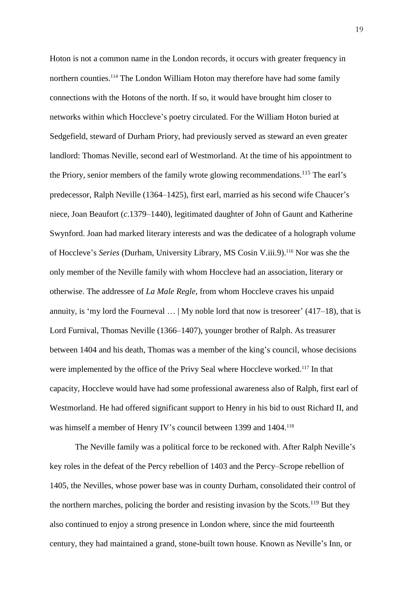Hoton is not a common name in the London records, it occurs with greater frequency in northern counties.<sup>114</sup> The London William Hoton may therefore have had some family connections with the Hotons of the north. If so, it would have brought him closer to networks within which Hoccleve's poetry circulated. For the William Hoton buried at Sedgefield, steward of Durham Priory, had previously served as steward an even greater landlord: Thomas Neville, second earl of Westmorland. At the time of his appointment to the Priory, senior members of the family wrote glowing recommendations.<sup>115</sup> The earl's predecessor, Ralph Neville (1364–1425), first earl, married as his second wife Chaucer's niece, Joan Beaufort (*c*.1379–1440), legitimated daughter of John of Gaunt and Katherine Swynford. Joan had marked literary interests and was the dedicatee of a holograph volume of Hoccleve's *Series* (Durham, University Library, MS Cosin V.iii.9).<sup>116</sup> Nor was she the only member of the Neville family with whom Hoccleve had an association, literary or otherwise. The addressee of *La Male Regle*, from whom Hoccleve craves his unpaid annuity, is 'my lord the Fourneval  $\ldots$  | My noble lord that now is tresoreer' (417–18), that is Lord Furnival, Thomas Neville (1366–1407), younger brother of Ralph. As treasurer between 1404 and his death, Thomas was a member of the king's council, whose decisions were implemented by the office of the Privy Seal where Hoccleve worked.<sup>117</sup> In that capacity, Hoccleve would have had some professional awareness also of Ralph, first earl of Westmorland. He had offered significant support to Henry in his bid to oust Richard II, and was himself a member of Henry IV's council between 1399 and 1404.<sup>118</sup>

The Neville family was a political force to be reckoned with. After Ralph Neville's key roles in the defeat of the Percy rebellion of 1403 and the Percy–Scrope rebellion of 1405, the Nevilles, whose power base was in county Durham, consolidated their control of the northern marches, policing the border and resisting invasion by the Scots.<sup>119</sup> But they also continued to enjoy a strong presence in London where, since the mid fourteenth century, they had maintained a grand, stone-built town house. Known as Neville's Inn, or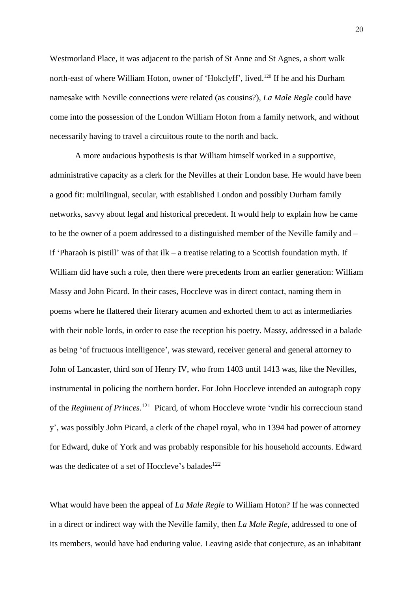Westmorland Place, it was adjacent to the parish of St Anne and St Agnes, a short walk north-east of where William Hoton, owner of 'Hokclyff', lived.<sup>120</sup> If he and his Durham namesake with Neville connections were related (as cousins?), *La Male Regle* could have come into the possession of the London William Hoton from a family network, and without necessarily having to travel a circuitous route to the north and back.

A more audacious hypothesis is that William himself worked in a supportive, administrative capacity as a clerk for the Nevilles at their London base. He would have been a good fit: multilingual, secular, with established London and possibly Durham family networks, savvy about legal and historical precedent. It would help to explain how he came to be the owner of a poem addressed to a distinguished member of the Neville family and – if 'Pharaoh is pistill' was of that ilk – a treatise relating to a Scottish foundation myth. If William did have such a role, then there were precedents from an earlier generation: William Massy and John Picard. In their cases, Hoccleve was in direct contact, naming them in poems where he flattered their literary acumen and exhorted them to act as intermediaries with their noble lords, in order to ease the reception his poetry. Massy, addressed in a balade as being 'of fructuous intelligence', was steward, receiver general and general attorney to John of Lancaster, third son of Henry IV, who from 1403 until 1413 was, like the Nevilles, instrumental in policing the northern border. For John Hoccleve intended an autograph copy of the *Regiment of Princes*. 121 Picard, of whom Hoccleve wrote 'vndir his correccioun stand y', was possibly John Picard, a clerk of the chapel royal, who in 1394 had power of attorney for Edward, duke of York and was probably responsible for his household accounts. Edward was the dedicatee of a set of Hoccleve's balades<sup>122</sup>

What would have been the appeal of *La Male Regle* to William Hoton? If he was connected in a direct or indirect way with the Neville family, then *La Male Regle*, addressed to one of its members, would have had enduring value. Leaving aside that conjecture, as an inhabitant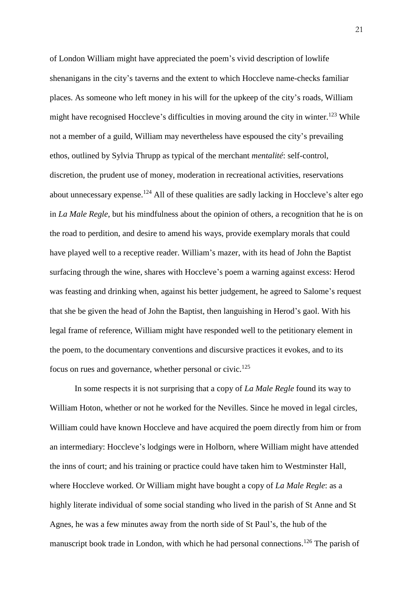of London William might have appreciated the poem's vivid description of lowlife shenanigans in the city's taverns and the extent to which Hoccleve name-checks familiar places. As someone who left money in his will for the upkeep of the city's roads, William might have recognised Hoccleve's difficulties in moving around the city in winter.<sup>123</sup> While not a member of a guild, William may nevertheless have espoused the city's prevailing ethos, outlined by Sylvia Thrupp as typical of the merchant *mentalité*: self-control, discretion, the prudent use of money, moderation in recreational activities, reservations about unnecessary expense.<sup>124</sup> All of these qualities are sadly lacking in Hoccleve's alter ego in *La Male Regle*, but his mindfulness about the opinion of others, a recognition that he is on the road to perdition, and desire to amend his ways, provide exemplary morals that could have played well to a receptive reader. William's mazer, with its head of John the Baptist surfacing through the wine, shares with Hoccleve's poem a warning against excess: Herod was feasting and drinking when, against his better judgement, he agreed to Salome's request that she be given the head of John the Baptist, then languishing in Herod's gaol. With his legal frame of reference, William might have responded well to the petitionary element in the poem, to the documentary conventions and discursive practices it evokes, and to its focus on rues and governance, whether personal or civic.<sup>125</sup>

In some respects it is not surprising that a copy of *La Male Regle* found its way to William Hoton, whether or not he worked for the Nevilles. Since he moved in legal circles, William could have known Hoccleve and have acquired the poem directly from him or from an intermediary: Hoccleve's lodgings were in Holborn, where William might have attended the inns of court; and his training or practice could have taken him to Westminster Hall, where Hoccleve worked. Or William might have bought a copy of *La Male Regle*: as a highly literate individual of some social standing who lived in the parish of St Anne and St Agnes, he was a few minutes away from the north side of St Paul's, the hub of the manuscript book trade in London, with which he had personal connections.<sup>126</sup> The parish of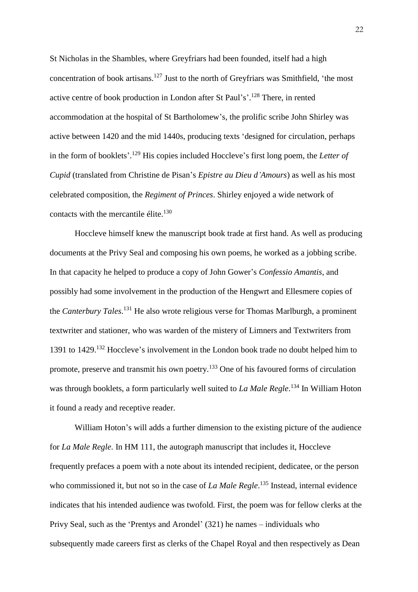St Nicholas in the Shambles, where Greyfriars had been founded, itself had a high concentration of book artisans.<sup>127</sup> Just to the north of Greyfriars was Smithfield, 'the most active centre of book production in London after St Paul's'.<sup>128</sup> There, in rented accommodation at the hospital of St Bartholomew's, the prolific scribe John Shirley was active between 1420 and the mid 1440s, producing texts 'designed for circulation, perhaps in the form of booklets'. <sup>129</sup> His copies included Hoccleve's first long poem, the *Letter of Cupid* (translated from Christine de Pisan's *Epistre au Dieu d'Amours*) as well as his most celebrated composition, the *Regiment of Princes*. Shirley enjoyed a wide network of contacts with the mercantile élite. $130$ 

Hoccleve himself knew the manuscript book trade at first hand. As well as producing documents at the Privy Seal and composing his own poems, he worked as a jobbing scribe. In that capacity he helped to produce a copy of John Gower's *Confessio Amantis*, and possibly had some involvement in the production of the Hengwrt and Ellesmere copies of the *Canterbury Tales*. <sup>131</sup> He also wrote religious verse for Thomas Marlburgh, a prominent textwriter and stationer, who was warden of the mistery of Limners and Textwriters from 1391 to 1429.<sup>132</sup> Hoccleve's involvement in the London book trade no doubt helped him to promote, preserve and transmit his own poetry.<sup>133</sup> One of his favoured forms of circulation was through booklets, a form particularly well suited to *La Male Regle*. <sup>134</sup> In William Hoton it found a ready and receptive reader.

William Hoton's will adds a further dimension to the existing picture of the audience for *La Male Regle*. In HM 111, the autograph manuscript that includes it, Hoccleve frequently prefaces a poem with a note about its intended recipient, dedicatee, or the person who commissioned it, but not so in the case of *La Male Regle*.<sup>135</sup> Instead, internal evidence indicates that his intended audience was twofold. First, the poem was for fellow clerks at the Privy Seal, such as the 'Prentys and Arondel' (321) he names – individuals who subsequently made careers first as clerks of the Chapel Royal and then respectively as Dean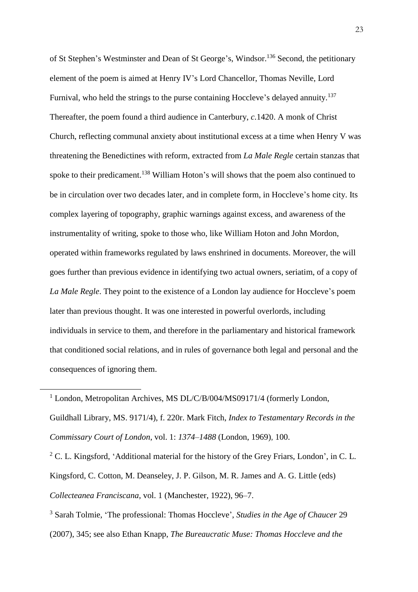of St Stephen's Westminster and Dean of St George's, Windsor.<sup>136</sup> Second, the petitionary element of the poem is aimed at Henry IV's Lord Chancellor, Thomas Neville, Lord Furnival, who held the strings to the purse containing Hoccleve's delayed annuity.<sup>137</sup> Thereafter, the poem found a third audience in Canterbury, *c*.1420. A monk of Christ Church, reflecting communal anxiety about institutional excess at a time when Henry V was threatening the Benedictines with reform, extracted from *La Male Regle* certain stanzas that spoke to their predicament.<sup>138</sup> William Hoton's will shows that the poem also continued to be in circulation over two decades later, and in complete form, in Hoccleve's home city. Its complex layering of topography, graphic warnings against excess, and awareness of the instrumentality of writing, spoke to those who, like William Hoton and John Mordon, operated within frameworks regulated by laws enshrined in documents. Moreover, the will goes further than previous evidence in identifying two actual owners, seriatim, of a copy of *La Male Regle*. They point to the existence of a London lay audience for Hoccleve's poem later than previous thought. It was one interested in powerful overlords, including individuals in service to them, and therefore in the parliamentary and historical framework that conditioned social relations, and in rules of governance both legal and personal and the consequences of ignoring them.

<sup>1</sup> London, Metropolitan Archives, MS DL/C/B/004/MS09171/4 (formerly London, Guildhall Library, MS. 9171/4), f. 220r. Mark Fitch, *Index to Testamentary Records in the Commissary Court of London*, vol. 1: *1374–1488* (London, 1969), 100.

 $\overline{a}$ 

<sup>2</sup> C. L. Kingsford, 'Additional material for the history of the Grey Friars, London', in C. L. Kingsford, C. Cotton, M. Deanseley, J. P. Gilson, M. R. James and A. G. Little (eds) *Collecteanea Franciscana*, vol. 1 (Manchester, 1922), 96–7.

<sup>3</sup> Sarah Tolmie, 'The professional: Thomas Hoccleve', *Studies in the Age of Chaucer* 29 (2007), 345; see also Ethan Knapp, *The Bureaucratic Muse: Thomas Hoccleve and the*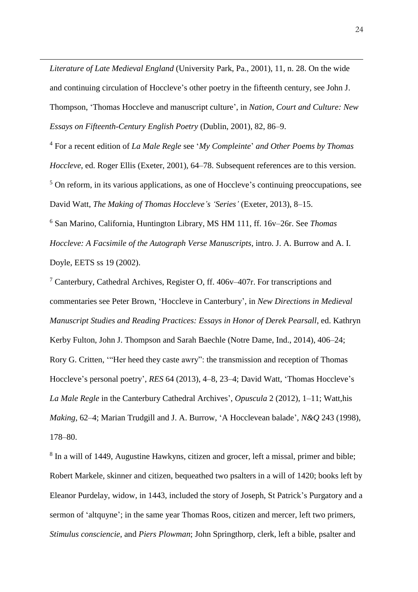*Literature of Late Medieval England* (University Park, Pa., 2001), 11, n. 28. On the wide and continuing circulation of Hoccleve's other poetry in the fifteenth century, see John J. Thompson, 'Thomas Hoccleve and manuscript culture', in *Nation, Court and Culture: New Essays on Fifteenth-Century English Poetry* (Dublin, 2001), 82, 86–9.

 $\overline{a}$ 

<sup>4</sup> For a recent edition of *La Male Regle* see '*My Compleinte*' *and Other Poems by Thomas Hoccleve*, ed. Roger Ellis (Exeter, 2001), 64–78. Subsequent references are to this version. <sup>5</sup> On reform, in its various applications, as one of Hoccleve's continuing preoccupations, see David Watt, *The Making of Thomas Hoccleve's 'Series'* (Exeter, 2013), 8–15. <sup>6</sup> San Marino, California, Huntington Library, MS HM 111, ff. 16v–26r. See *Thomas*

*Hoccleve: A Facsimile of the Autograph Verse Manuscripts*, intro. J. A. Burrow and A. I. Doyle, EETS ss 19 (2002).

<sup>7</sup> Canterbury, Cathedral Archives, Register O, ff. 406v–407r. For transcriptions and commentaries see Peter Brown, 'Hoccleve in Canterbury', in *New Directions in Medieval Manuscript Studies and Reading Practices: Essays in Honor of Derek Pearsall*, ed. Kathryn Kerby Fulton, John J. Thompson and Sarah Baechle (Notre Dame, Ind., 2014), 406–24; Rory G. Critten, '"Her heed they caste awry": the transmission and reception of Thomas Hoccleve's personal poetry', *RES* 64 (2013), 4–8, 23–4; David Watt, 'Thomas Hoccleve's *La Male Regle* in the Canterbury Cathedral Archives', *Opuscula* 2 (2012), 1–11; Watt,his *Making*, 62–4; Marian Trudgill and J. A. Burrow, 'A Hocclevean balade', *N&Q* 243 (1998), 178–80.

<sup>8</sup> In a will of 1449, Augustine Hawkyns, citizen and grocer, left a missal, primer and bible; Robert Markele, skinner and citizen, bequeathed two psalters in a will of 1420; books left by Eleanor Purdelay, widow, in 1443, included the story of Joseph, St Patrick's Purgatory and a sermon of 'altquyne'; in the same year Thomas Roos, citizen and mercer, left two primers, *Stimulus consciencie*, and *Piers Plowman*; John Springthorp, clerk, left a bible, psalter and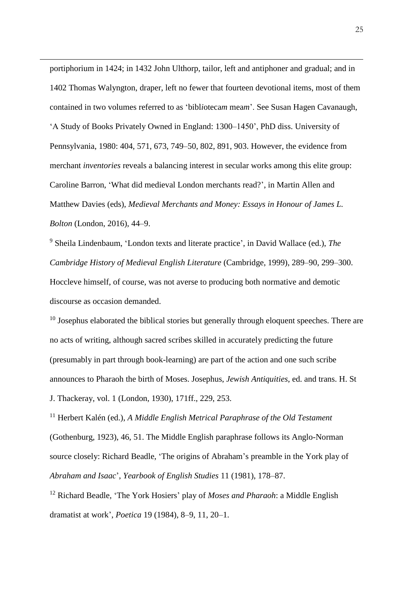portiphorium in 1424; in 1432 John Ulthorp, tailor, left and antiphoner and gradual; and in 1402 Thomas Walyngton, draper, left no fewer that fourteen devotional items, most of them contained in two volumes referred to as 'bibl*i*oteca*m* mea*m*'. See Susan Hagen Cavanaugh, 'A Study of Books Privately Owned in England: 1300–1450', PhD diss. University of Pennsylvania, 1980: 404, 571, 673, 749–50, 802, 891, 903. However, the evidence from merchant *inventories* reveals a balancing interest in secular works among this elite group: Caroline Barron, 'What did medieval London merchants read?', in Martin Allen and Matthew Davies (eds), *Medieval Merchants and Money: Essays in Honour of James L. Bolton* (London, 2016), 44–9.

 $\overline{a}$ 

<sup>9</sup> Sheila Lindenbaum, 'London texts and literate practice', in David Wallace (ed.), *The Cambridge History of Medieval English Literature* (Cambridge, 1999), 289–90, 299–300. Hoccleve himself, of course, was not averse to producing both normative and demotic discourse as occasion demanded.

 $10$  Josephus elaborated the biblical stories but generally through eloquent speeches. There are no acts of writing, although sacred scribes skilled in accurately predicting the future (presumably in part through book-learning) are part of the action and one such scribe announces to Pharaoh the birth of Moses. Josephus, *Jewish Antiquities*, ed. and trans. H. St J. Thackeray, vol. 1 (London, 1930), 171ff., 229, 253.

<sup>11</sup> Herbert Kalén (ed.), *A Middle English Metrical Paraphrase of the Old Testament* (Gothenburg, 1923), 46, 51. The Middle English paraphrase follows its Anglo-Norman source closely: Richard Beadle, 'The origins of Abraham's preamble in the York play of *Abraham and Isaac*', *Yearbook of English Studies* 11 (1981), 178–87.

<sup>12</sup> Richard Beadle, 'The York Hosiers' play of *Moses and Pharaoh*: a Middle English dramatist at work', *Poetica* 19 (1984), 8–9, 11, 20–1.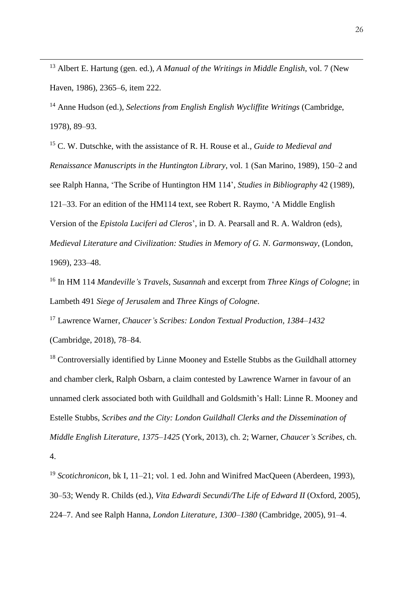<sup>13</sup> Albert E. Hartung (gen. ed.), *A Manual of the Writings in Middle English*, vol. 7 (New Haven, 1986), 2365–6, item 222.

 $\overline{a}$ 

<sup>14</sup> Anne Hudson (ed.), *Selections from English English Wycliffite Writings* (Cambridge, 1978), 89–93.

<sup>15</sup> C. W. Dutschke, with the assistance of R. H. Rouse et al., *Guide to Medieval and Renaissance Manuscripts in the Huntington Library*, vol. 1 (San Marino, 1989), 150–2 and see Ralph Hanna, 'The Scribe of Huntington HM 114', *Studies in Bibliography* 42 (1989), 121–33. For an edition of the HM114 text, see Robert R. Raymo, 'A Middle English Version of the *Epistola Luciferi ad Cleros*', in D. A. Pearsall and R. A. Waldron (eds), *Medieval Literature and Civilization: Studies in Memory of G. N. Garmonsway*, (London, 1969), 233–48.

<sup>16</sup> In HM 114 *Mandeville's Travels*, *Susannah* and excerpt from *Three Kings of Cologne*; in Lambeth 491 *Siege of Jerusalem* and *Three Kings of Cologne*.

<sup>17</sup> Lawrence Warner, *Chaucer's Scribes: London Textual Production, 1384–1432* (Cambridge, 2018), 78–84.

 $18$  Controversially identified by Linne Mooney and Estelle Stubbs as the Guildhall attorney and chamber clerk, Ralph Osbarn, a claim contested by Lawrence Warner in favour of an unnamed clerk associated both with Guildhall and Goldsmith's Hall: Linne R. Mooney and Estelle Stubbs, *Scribes and the City: London Guildhall Clerks and the Dissemination of Middle English Literature, 1375–1425* (York, 2013), ch. 2; Warner, *Chaucer's Scribes*, ch. 4.

<sup>19</sup> *Scotichronicon*, bk I, 11–21; vol. 1 ed. John and Winifred MacQueen (Aberdeen, 1993), 30–53; Wendy R. Childs (ed.), *Vita Edwardi Secundi/The Life of Edward II* (Oxford, 2005), 224–7. And see Ralph Hanna, *London Literature, 1300–1380* (Cambridge, 2005), 91–4.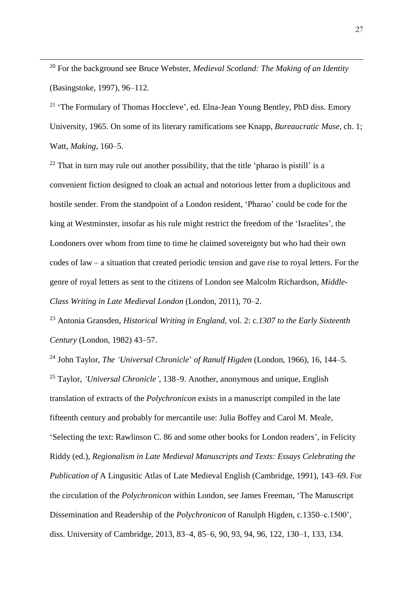<sup>20</sup> For the background see Bruce Webster, *Medieval Scotland: The Making of an Identity* (Basingstoke, 1997), 96–112.

 $\overline{a}$ 

<sup>21</sup> 'The Formulary of Thomas Hoccleve', ed. Elna-Jean Young Bentley, PhD diss. Emory University, 1965. On some of its literary ramifications see Knapp, *Bureaucratic Muse*, ch. 1; Watt, *Making*, 160–5.

 $22$  That in turn may rule out another possibility, that the title 'pharao is pistill' is a convenient fiction designed to cloak an actual and notorious letter from a duplicitous and hostile sender. From the standpoint of a London resident, 'Pharao' could be code for the king at Westminster, insofar as his rule might restrict the freedom of the 'Israelites', the Londoners over whom from time to time he claimed sovereignty but who had their own codes of law – a situation that created periodic tension and gave rise to royal letters. For the genre of royal letters as sent to the citizens of London see Malcolm Richardson, *Middle-Class Writing in Late Medieval London* (London, 2011), 70–2.

<sup>23</sup> Antonia Gransden, *Historical Writing in England*, vol. 2: c*.1307 to the Early Sixteenth Century* (London, 1982) 43–57.

<sup>24</sup> John Taylor, *The 'Universal Chronicle*' *of Ranulf Higden* (London, 1966), 16, 144–5. <sup>25</sup> Taylor, *'Universal Chronicle'*, 138–9. Another, anonymous and unique, English translation of extracts of the *Polychronicon* exists in a manuscript compiled in the late fifteenth century and probably for mercantile use: Julia Boffey and Carol M. Meale, 'Selecting the text: Rawlinson C. 86 and some other books for London readers', in Felicity Riddy (ed.), *Regionalism in Late Medieval Manuscripts and Texts: Essays Celebrating the Publication of* A Lingusitic Atlas of Late Medieval English (Cambridge, 1991), 143–69. For the circulation of the *Polychronicon* within London, see James Freeman, 'The Manuscript Dissemination and Readership of the *Polychronicon* of Ranulph Higden, c.1350–c.1500', diss. University of Cambridge, 2013, 83–4, 85–6, 90, 93, 94, 96, 122, 130–1, 133, 134.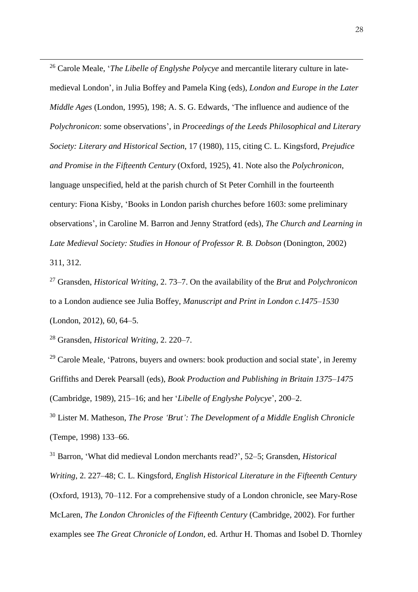<sup>26</sup> Carole Meale, '*The Libelle of Englyshe Polycye* and mercantile literary culture in latemedieval London', in Julia Boffey and Pamela King (eds), *London and Europe in the Later Middle Ages* (London, 1995), 198; A. S. G. Edwards, 'The influence and audience of the *Polychronicon*: some observations', in *Proceedings of the Leeds Philosophical and Literary Society: Literary and Historical Section*, 17 (1980), 115, citing C. L. Kingsford, *Prejudice and Promise in the Fifteenth Century* (Oxford, 1925), 41. Note also the *Polychronicon*, language unspecified, held at the parish church of St Peter Cornhill in the fourteenth century: Fiona Kisby, 'Books in London parish churches before 1603: some preliminary observations', in Caroline M. Barron and Jenny Stratford (eds), *The Church and Learning in Late Medieval Society: Studies in Honour of Professor R. B. Dobson* (Donington, 2002) 311, 312.

<sup>27</sup> Gransden, *Historical Writing*, 2. 73–7. On the availability of the *Brut* and *Polychronicon* to a London audience see Julia Boffey, *Manuscript and Print in London c.1475–1530* (London, 2012), 60, 64–5.

<sup>28</sup> Gransden, *Historical Writing*, 2. 220–7.

 $\overline{a}$ 

 $29$  Carole Meale, 'Patrons, buyers and owners: book production and social state', in Jeremy Griffiths and Derek Pearsall (eds), *Book Production and Publishing in Britain 1375–1475* (Cambridge, 1989), 215–16; and her '*Libelle of Englyshe Polycye*', 200–2.

<sup>30</sup> Lister M. Matheson, *The Prose 'Brut': The Development of a Middle English Chronicle* (Tempe, 1998) 133–66.

<sup>31</sup> Barron, 'What did medieval London merchants read?', 52–5; Gransden, *Historical Writing*, 2. 227–48; C. L. Kingsford, *English Historical Literature in the Fifteenth Century* (Oxford, 1913), 70–112. For a comprehensive study of a London chronicle, see Mary-Rose McLaren, *The London Chronicles of the Fifteenth Century* (Cambridge, 2002). For further examples see *The Great Chronicle of London*, ed. Arthur H. Thomas and Isobel D. Thornley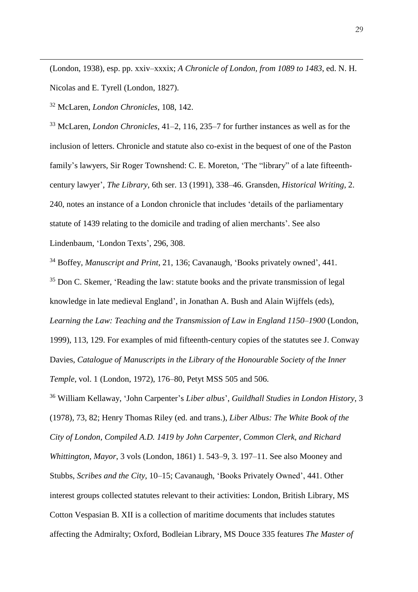(London, 1938), esp. pp. xxiv–xxxix; *A Chronicle of London, from 1089 to 1483*, ed. N. H. Nicolas and E. Tyrell (London, 1827).

<sup>32</sup> McLaren, *London Chronicles*, 108, 142.

 $\overline{a}$ 

<sup>33</sup> McLaren, *London Chronicles*, 41–2, 116, 235–7 for further instances as well as for the inclusion of letters. Chronicle and statute also co-exist in the bequest of one of the Paston family's lawyers, Sir Roger Townshend: C. E. Moreton, 'The "library" of a late fifteenthcentury lawyer', *The Library*, 6th ser. 13 (1991), 338–46. Gransden, *Historical Writing*, 2. 240, notes an instance of a London chronicle that includes 'details of the parliamentary statute of 1439 relating to the domicile and trading of alien merchants'. See also Lindenbaum, 'London Texts', 296, 308.

<sup>34</sup> Boffey, *Manuscript and Print*, 21, 136; Cavanaugh, 'Books privately owned', 441.

<sup>35</sup> Don C. Skemer, 'Reading the law: statute books and the private transmission of legal knowledge in late medieval England', in Jonathan A. Bush and Alain Wijffels (eds), *Learning the Law: Teaching and the Transmission of Law in England 1150–1900* (London, 1999), 113, 129. For examples of mid fifteenth-century copies of the statutes see J. Conway Davies, *Catalogue of Manuscripts in the Library of the Honourable Society of the Inner Temple*, vol. 1 (London, 1972), 176–80, Petyt MSS 505 and 506.

<sup>36</sup> William Kellaway, 'John Carpenter's *Liber albus*', *Guildhall Studies in London History*, 3 (1978), 73, 82; Henry Thomas Riley (ed. and trans.), *Liber Albus: The White Book of the City of London, Compiled A.D. 1419 by John Carpenter, Common Clerk, and Richard Whittington, Mayor*, 3 vols (London, 1861) 1. 543–9, 3. 197–11. See also Mooney and Stubbs, *Scribes and the City*, 10–15; Cavanaugh, 'Books Privately Owned', 441. Other interest groups collected statutes relevant to their activities: London, British Library, MS Cotton Vespasian B. XII is a collection of maritime documents that includes statutes affecting the Admiralty; Oxford, Bodleian Library, MS Douce 335 features *The Master of*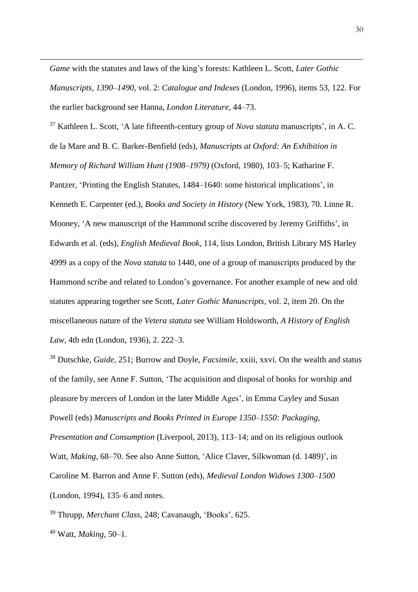*Game* with the statutes and laws of the king's forests: Kathleen L. Scott, *Later Gothic Manuscripts, 1390–1490*, vol. 2: *Catalogue and Indexes* (London, 1996), items 53, 122. For the earlier background see Hanna, *London Literature*, 44–73.

<sup>37</sup> Kathleen L. Scott, 'A late fifteenth-century group of *Nova statuta* manuscripts', in A. C. de la Mare and B. C. Barker-Benfield (eds), *Manuscripts at Oxford: An Exhibition in Memory of Richard William Hunt (1908–1979)* (Oxford, 1980), 103–5; Katharine F. Pantzer, 'Printing the English Statutes, 1484–1640: some historical implications', in Kenneth E. Carpenter (ed.), *Books and Society in History* (New York, 1983), 70. Linne R. Mooney, 'A new manuscript of the Hammond scribe discovered by Jeremy Griffiths', in Edwards et al. (eds), *English Medieval Book*, 114, lists London, British Library MS Harley 4999 as a copy of the *Nova statuta* to 1440, one of a group of manuscripts produced by the Hammond scribe and related to London's governance. For another example of new and old statutes appearing together see Scott, *Later Gothic Manuscripts*, vol. 2, item 20. On the miscellaneous nature of the *Vetera statuta* see William Holdsworth, *A History of English Law*, 4th edn (London, 1936), 2. 222–3.

<sup>38</sup> Dutschke, *Guide*, 251; Burrow and Doyle, *Facsimile*, xxiii, xxvi. On the wealth and status of the family, see Anne F. Sutton, 'The acquisition and disposal of books for worship and pleasure by mercers of London in the later Middle Ages', in Emma Cayley and Susan Powell (eds) *Manuscripts and Books Printed in Europe 1350–1550: Packaging, Presentation and Consumption* (Liverpool, 2013), 113–14; and on its religious outlook Watt, *Making*, 68–70. See also Anne Sutton, 'Alice Claver, Silkwoman (d. 1489)', in

Caroline M. Barron and Anne F. Sutton (eds), *Medieval London Widows 1300–1500*

(London, 1994), 135–6 and notes.

<sup>39</sup> Thrupp, *Merchant Class*, 248; Cavanaugh, 'Books', 625.

<sup>40</sup> Watt, *Making*, 50–1.

 $\overline{a}$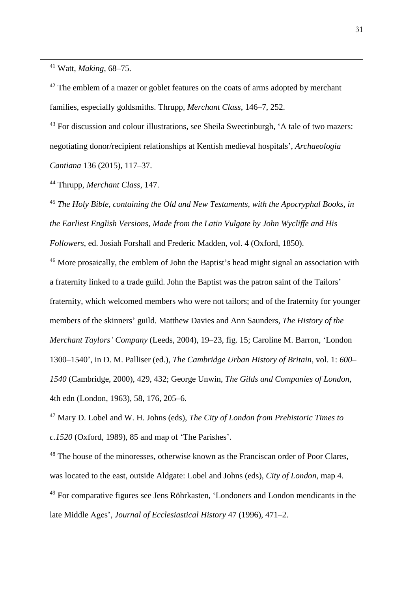<sup>41</sup> Watt, *Making*, 68–75.

 $\overline{a}$ 

<sup>42</sup> The emblem of a mazer or goblet features on the coats of arms adopted by merchant families, especially goldsmiths. Thrupp, *Merchant Class*, 146–7, 252.

<sup>43</sup> For discussion and colour illustrations, see Sheila Sweetinburgh, 'A tale of two mazers: negotiating donor/recipient relationships at Kentish medieval hospitals', *Archaeologia Cantiana* 136 (2015), 117–37.

<sup>44</sup> Thrupp, *Merchant Class*, 147.

<sup>45</sup> *The Holy Bible, containing the Old and New Testaments, with the Apocryphal Books, in the Earliest English Versions, Made from the Latin Vulgate by John Wycliffe and His Followers*, ed. Josiah Forshall and Frederic Madden, vol. 4 (Oxford, 1850).

<sup>46</sup> More prosaically, the emblem of John the Baptist's head might signal an association with a fraternity linked to a trade guild. John the Baptist was the patron saint of the Tailors' fraternity, which welcomed members who were not tailors; and of the fraternity for younger members of the skinners' guild. Matthew Davies and Ann Saunders, *The History of the Merchant Taylors' Company* (Leeds, 2004), 19–23, fig. 15; Caroline M. Barron, 'London 1300–1540', in D. M. Palliser (ed.), *The Cambridge Urban History of Britain*, vol. 1: *600– 1540* (Cambridge, 2000), 429, 432; George Unwin, *The Gilds and Companies of London*, 4th edn (London, 1963), 58, 176, 205–6.

<sup>47</sup> Mary D. Lobel and W. H. Johns (eds), *The City of London from Prehistoric Times to c.1520* (Oxford, 1989), 85 and map of 'The Parishes'.

<sup>48</sup> The house of the minoresses, otherwise known as the Franciscan order of Poor Clares, was located to the east, outside Aldgate: Lobel and Johns (eds), *City of London*, map 4. <sup>49</sup> For comparative figures see Jens Röhrkasten, 'Londoners and London mendicants in the late Middle Ages', *Journal of Ecclesiastical History* 47 (1996), 471–2.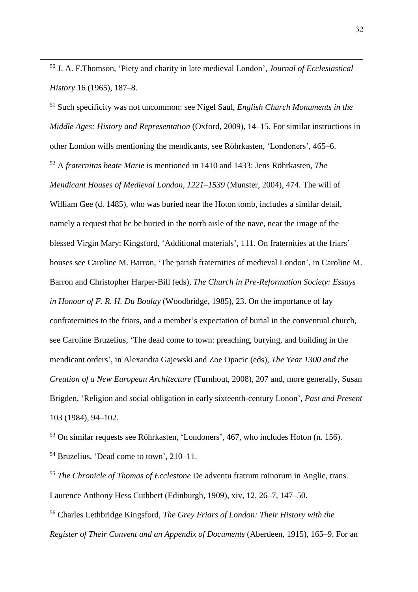<sup>50</sup> J. A. F.Thomson, 'Piety and charity in late medieval London', *Journal of Ecclesiastical History* 16 (1965), 187–8.

 $\overline{a}$ 

<sup>51</sup> Such specificity was not uncommon: see Nigel Saul, *English Church Monuments in the Middle Ages: History and Representation* (Oxford, 2009), 14–15. For similar instructions in other London wills mentioning the mendicants, see Röhrkasten, 'Londoners', 465–6. <sup>52</sup> A *fraternitas beate Marie* is mentioned in 1410 and 1433: Jens Röhrkasten, *The Mendicant Houses of Medieval London, 1221–1539* (Munster, 2004), 474. The will of William Gee (d. 1485), who was buried near the Hoton tomb, includes a similar detail, namely a request that he be buried in the north aisle of the nave, near the image of the blessed Virgin Mary: Kingsford, 'Additional materials', 111. On fraternities at the friars' houses see Caroline M. Barron, 'The parish fraternities of medieval London', in Caroline M. Barron and Christopher Harper-Bill (eds), *The Church in Pre-Reformation Society: Essays in Honour of F. R. H. Du Boulay* (Woodbridge, 1985), 23. On the importance of lay confraternities to the friars, and a member's expectation of burial in the conventual church, see Caroline Bruzelius, 'The dead come to town: preaching, burying, and building in the mendicant orders', in Alexandra Gajewski and Zoe Opacic (eds), *The Year 1300 and the Creation of a New European Architecture* (Turnhout, 2008), 207 and, more generally, Susan Brigden, 'Religion and social obligation in early sixteenth-century Lonon', *Past and Present* 103 (1984), 94–102.

<sup>53</sup> On similar requests see Röhrkasten, 'Londoners', 467, who includes Hoton (n. 156). <sup>54</sup> Bruzelius, 'Dead come to town', 210–11.

<sup>55</sup> *The Chronicle of Thomas of Ecclestone* De adventu fratrum minorum in Anglie, trans. Laurence Anthony Hess Cuthbert (Edinburgh, 1909), xiv, 12, 26–7, 147–50.

<sup>56</sup> Charles Lethbridge Kingsford, *The Grey Friars of London: Their History with the Register of Their Convent and an Appendix of Documents* (Aberdeen, 1915), 165–9. For an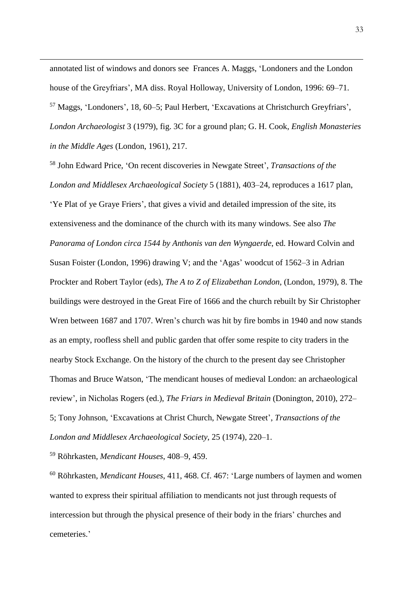annotated list of windows and donors see Frances A. Maggs, 'Londoners and the London house of the Greyfriars', MA diss. Royal Holloway, University of London, 1996: 69–71. <sup>57</sup> Maggs, 'Londoners', 18, 60–5; Paul Herbert, 'Excavations at Christchurch Greyfriars', *London Archaeologist* 3 (1979), fig. 3C for a ground plan; G. H. Cook, *English Monasteries in the Middle Ages* (London, 1961), 217.

<sup>58</sup> John Edward Price, 'On recent discoveries in Newgate Street', *Transactions of the London and Middlesex Archaeological Society* 5 (1881), 403–24, reproduces a 1617 plan, 'Ye Plat of ye Graye Friers', that gives a vivid and detailed impression of the site, its extensiveness and the dominance of the church with its many windows. See also *The Panorama of London circa 1544 by Anthonis van den Wyngaerde*, ed. Howard Colvin and Susan Foister (London, 1996) drawing V; and the 'Agas' woodcut of 1562–3 in Adrian Prockter and Robert Taylor (eds), *The A to Z of Elizabethan London*, (London, 1979), 8. The buildings were destroyed in the Great Fire of 1666 and the church rebuilt by Sir Christopher Wren between 1687 and 1707. Wren's church was hit by fire bombs in 1940 and now stands as an empty, roofless shell and public garden that offer some respite to city traders in the nearby Stock Exchange. On the history of the church to the present day see Christopher Thomas and Bruce Watson, 'The mendicant houses of medieval London: an archaeological review', in Nicholas Rogers (ed.), *The Friars in Medieval Britain* (Donington, 2010), 272– 5; Tony Johnson, 'Excavations at Christ Church, Newgate Street', *Transactions of the London and Middlesex Archaeological Society*, 25 (1974), 220–1.

<sup>59</sup> Röhrkasten, *Mendicant Houses*, 408–9, 459.

 $\overline{a}$ 

<sup>60</sup> Röhrkasten, *Mendicant Houses*, 411, 468. Cf. 467: 'Large numbers of laymen and women wanted to express their spiritual affiliation to mendicants not just through requests of intercession but through the physical presence of their body in the friars' churches and cemeteries.'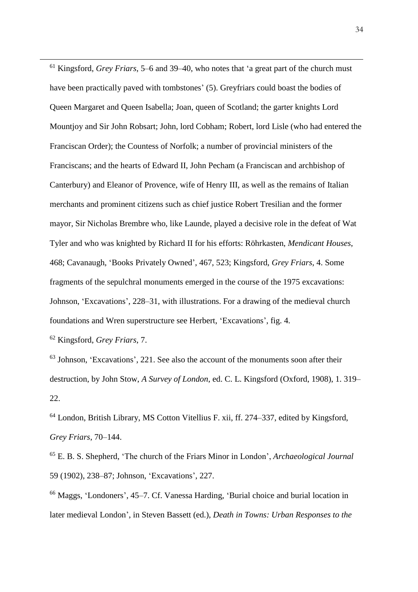<sup>61</sup> Kingsford, *Grey Friars*, 5–6 and 39–40, who notes that 'a great part of the church must have been practically paved with tombstones' (5). Greyfriars could boast the bodies of Queen Margaret and Queen Isabella; Joan, queen of Scotland; the garter knights Lord Mountjoy and Sir John Robsart; John, lord Cobham; Robert, lord Lisle (who had entered the Franciscan Order); the Countess of Norfolk; a number of provincial ministers of the Franciscans; and the hearts of Edward II, John Pecham (a Franciscan and archbishop of Canterbury) and Eleanor of Provence, wife of Henry III, as well as the remains of Italian merchants and prominent citizens such as chief justice Robert Tresilian and the former mayor, Sir Nicholas Brembre who, like Launde, played a decisive role in the defeat of Wat Tyler and who was knighted by Richard II for his efforts: Röhrkasten, *Mendicant Houses*, 468; Cavanaugh, 'Books Privately Owned', 467, 523; Kingsford, *Grey Friars*, 4. Some fragments of the sepulchral monuments emerged in the course of the 1975 excavations: Johnson, 'Excavations', 228–31, with illustrations. For a drawing of the medieval church foundations and Wren superstructure see Herbert, 'Excavations', fig. 4.

<sup>62</sup> Kingsford, *Grey Friars*, 7.

 $\overline{a}$ 

 $63$  Johnson, 'Excavations', 221. See also the account of the monuments soon after their destruction, by John Stow, *A Survey of London*, ed. C. L. Kingsford (Oxford, 1908), 1. 319– 22.

<sup>64</sup> London, British Library, MS Cotton Vitellius F. xii, ff. 274–337, edited by Kingsford, *Grey Friars*, 70–144.

<sup>65</sup> E. B. S. Shepherd, 'The church of the Friars Minor in London', *Archaeological Journal* 59 (1902), 238–87; Johnson, 'Excavations', 227.

<sup>66</sup> Maggs, 'Londoners', 45–7. Cf. Vanessa Harding, 'Burial choice and burial location in later medieval London', in Steven Bassett (ed.), *Death in Towns: Urban Responses to the*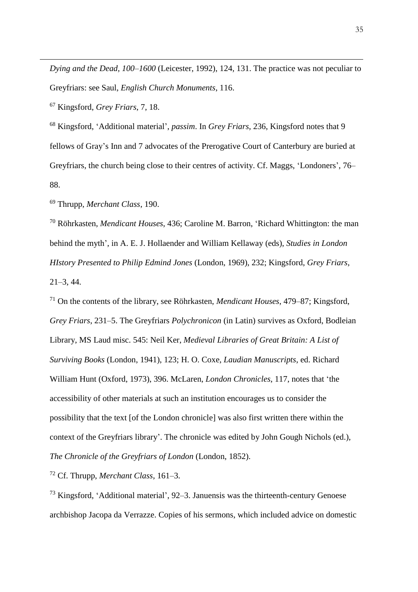*Dying and the Dead, 100–1600* (Leicester, 1992), 124, 131. The practice was not peculiar to Greyfriars: see Saul, *English Church Monuments*, 116.

<sup>67</sup> Kingsford, *Grey Friars*, 7, 18.

 $\overline{a}$ 

<sup>68</sup> Kingsford, 'Additional material', *passim*. In *Grey Friars*, 236, Kingsford notes that 9 fellows of Gray's Inn and 7 advocates of the Prerogative Court of Canterbury are buried at Greyfriars, the church being close to their centres of activity. Cf. Maggs, 'Londoners', 76– 88.

<sup>69</sup> Thrupp, *Merchant Class*, 190.

<sup>70</sup> Röhrkasten, *Mendicant Houses*, 436; Caroline M. Barron, 'Richard Whittington: the man behind the myth', in A. E. J. Hollaender and William Kellaway (eds), *Studies in London HIstory Presented to Philip Edmind Jones* (London, 1969), 232; Kingsford, *Grey Friars*, 21–3, 44.

<sup>71</sup> On the contents of the library, see Röhrkasten, *Mendicant Houses*, 479–87; Kingsford, *Grey Friars*, 231–5. The Greyfriars *Polychronicon* (in Latin) survives as Oxford, Bodleian Library, MS Laud misc. 545: Neil Ker, *Medieval Libraries of Great Britain: A List of Surviving Books* (London, 1941), 123; H. O. Coxe, *Laudian Manuscripts*, ed. Richard William Hunt (Oxford, 1973), 396. McLaren, *London Chronicles*, 117, notes that 'the accessibility of other materials at such an institution encourages us to consider the possibility that the text [of the London chronicle] was also first written there within the context of the Greyfriars library'. The chronicle was edited by John Gough Nichols (ed.), *The Chronicle of the Greyfriars of London* (London, 1852).

<sup>72</sup> Cf. Thrupp, *Merchant Class*, 161–3.

<sup>73</sup> Kingsford, 'Additional material', 92–3. Januensis was the thirteenth-century Genoese archbishop Jacopa da Verrazze. Copies of his sermons, which included advice on domestic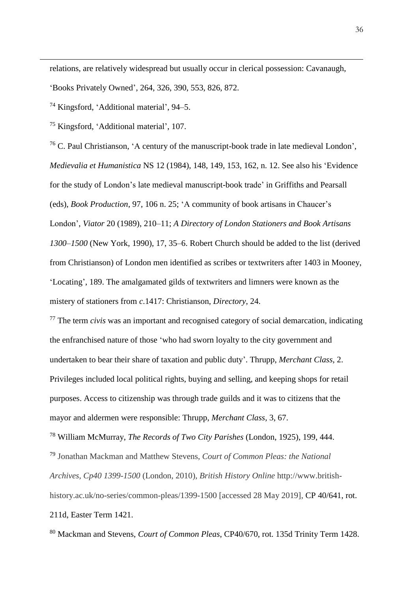relations, are relatively widespread but usually occur in clerical possession: Cavanaugh,

'Books Privately Owned', 264, 326, 390, 553, 826, 872.

<sup>74</sup> Kingsford, 'Additional material', 94–5.

 $\overline{a}$ 

<sup>75</sup> Kingsford, 'Additional material', 107.

<sup>76</sup> C. Paul Christianson, 'A century of the manuscript-book trade in late medieval London', *Medievalia et Humanistica* NS 12 (1984), 148, 149, 153, 162, n. 12. See also his 'Evidence for the study of London's late medieval manuscript-book trade' in Griffiths and Pearsall (eds), *Book Production*, 97, 106 n. 25; 'A community of book artisans in Chaucer's London', *Viator* 20 (1989), 210–11; *A Directory of London Stationers and Book Artisans 1300–1500* (New York, 1990), 17, 35–6. Robert Church should be added to the list (derived from Christianson) of London men identified as scribes or textwriters after 1403 in Mooney, 'Locating', 189. The amalgamated gilds of textwriters and limners were known as the mistery of stationers from *c*.1417: Christianson, *Directory*, 24.

<sup>77</sup> The term *civis* was an important and recognised category of social demarcation, indicating the enfranchised nature of those 'who had sworn loyalty to the city government and undertaken to bear their share of taxation and public duty'. Thrupp, *Merchant Class*, 2. Privileges included local political rights, buying and selling, and keeping shops for retail purposes. Access to citizenship was through trade guilds and it was to citizens that the mayor and aldermen were responsible: Thrupp, *Merchant Class*, 3, 67.

<sup>78</sup> William McMurray, *The Records of Two City Parishes* (London, 1925), 199, 444. <sup>79</sup> Jonathan Mackman and Matthew Stevens, *Court of Common Pleas: the National Archives, Cp40 1399-1500* (London, 2010), *British History Online* http://www.britishhistory.ac.uk/no-series/common-pleas/1399-1500 [accessed 28 May 2019], CP 40/641, rot. 211d, Easter Term 1421.

<sup>80</sup> Mackman and Stevens, *Court of Common Pleas*, CP40/670, rot. 135d Trinity Term 1428.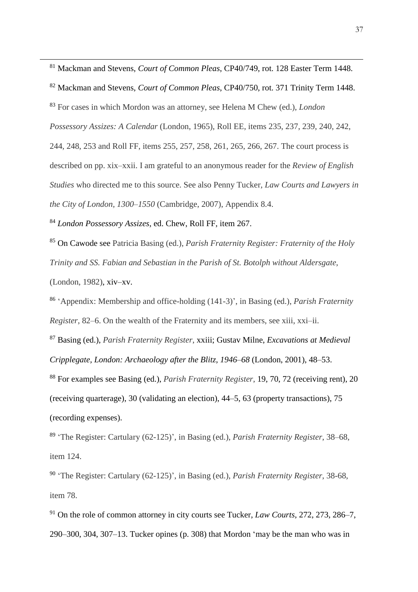<sup>81</sup> Mackman and Stevens, *Court of Common Pleas*, CP40/749, rot. 128 Easter Term 1448.

<sup>82</sup> Mackman and Stevens, *Court of Common Pleas*, CP40/750, rot. 371 Trinity Term 1448. <sup>83</sup> For cases in which Mordon was an attorney, see Helena M Chew (ed.), *London Possessory Assizes: A Calendar* (London, 1965), Roll EE, items 235, 237, 239, 240, 242, 244, 248, 253 and Roll FF, items 255, 257, 258, 261, 265, 266, 267. The court process is described on pp. xix–xxii. I am grateful to an anonymous reader for the *Review of English Studies* who directed me to this source. See also Penny Tucker, *Law Courts and Lawyers in the City of London, 1300–1550* (Cambridge, 2007), Appendix 8.4.

<sup>84</sup> *London Possessory Assizes*, ed. Chew, Roll FF, item 267.

<sup>85</sup> On Cawode see Patricia Basing (ed.), *Parish Fraternity Register: Fraternity of the Holy Trinity and SS. Fabian and Sebastian in the Parish of St. Botolph without Aldersgate*,

(London, 1982), xiv–xv.

 $\overline{a}$ 

86 'Appendix: Membership and office-holding (141-3)', in Basing (ed.), *Parish Fraternity Register*, 82–6. On the wealth of the Fraternity and its members, see xiii, xxi–ii.

<sup>87</sup> Basing (ed.), *Parish Fraternity Register*, xxiii; Gustav Milne, *Excavations at Medieval Cripplegate, London: Archaeology after the Blitz, 1946–68* (London, 2001), 48–53.

<sup>88</sup> For examples see Basing (ed.), *Parish Fraternity Register*, 19, 70, 72 (receiving rent), 20 (receiving quarterage), 30 (validating an election), 44–5, 63 (property transactions), 75 (recording expenses).

89 'The Register: Cartulary (62-125)', in Basing (ed.), *Parish Fraternity Register*, 38–68, item 124.

90 'The Register: Cartulary (62-125)', in Basing (ed.), *Parish Fraternity Register*, 38-68, item 78.

<sup>91</sup> On the role of common attorney in city courts see Tucker, *Law Courts*, 272, 273, 286–7, 290–300, 304, 307–13. Tucker opines (p. 308) that Mordon 'may be the man who was in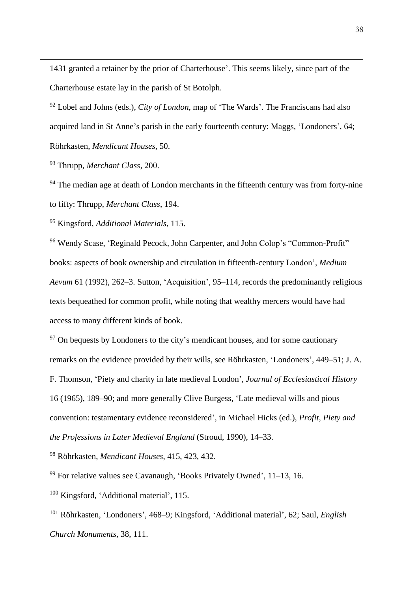1431 granted a retainer by the prior of Charterhouse'. This seems likely, since part of the Charterhouse estate lay in the parish of St Botolph.

<sup>92</sup> Lobel and Johns (eds.), *City of London*, map of 'The Wards'. The Franciscans had also acquired land in St Anne's parish in the early fourteenth century: Maggs, 'Londoners', 64; Röhrkasten, *Mendicant Houses*, 50.

<sup>93</sup> Thrupp, *Merchant Class*, 200.

 $\overline{a}$ 

<sup>94</sup> The median age at death of London merchants in the fifteenth century was from forty-nine to fifty: Thrupp, *Merchant Class*, 194.

<sup>95</sup> Kingsford, *Additional Materials*, 115.

<sup>96</sup> Wendy Scase, 'Reginald Pecock, John Carpenter, and John Colop's "Common-Profit" books: aspects of book ownership and circulation in fifteenth-century London', *Medium Aevum* 61 (1992), 262–3. Sutton, 'Acquisition', 95–114, records the predominantly religious texts bequeathed for common profit, while noting that wealthy mercers would have had access to many different kinds of book.

<sup>97</sup> On bequests by Londoners to the city's mendicant houses, and for some cautionary remarks on the evidence provided by their wills, see Röhrkasten, 'Londoners', 449–51; J. A. F. Thomson, 'Piety and charity in late medieval London', *Journal of Ecclesiastical History* 16 (1965), 189–90; and more generally Clive Burgess, 'Late medieval wills and pious convention: testamentary evidence reconsidered', in Michael Hicks (ed.), *Profit, Piety and the Professions in Later Medieval England* (Stroud, 1990), 14–33.

<sup>98</sup> Röhrkasten, *Mendicant Houses*, 415, 423, 432.

<sup>99</sup> For relative values see Cavanaugh, 'Books Privately Owned', 11–13, 16.

<sup>100</sup> Kingsford, 'Additional material', 115.

<sup>101</sup> Röhrkasten, 'Londoners', 468–9; Kingsford, 'Additional material', 62; Saul, *English Church Monuments*, 38, 111.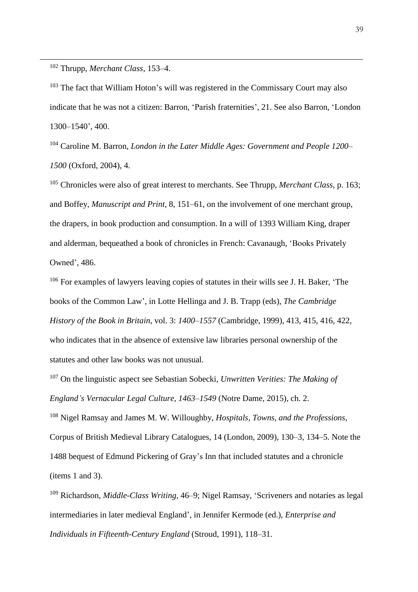<sup>102</sup> Thrupp, *Merchant Class*, 153–4.

 $\overline{a}$ 

<sup>103</sup> The fact that William Hoton's will was registered in the Commissary Court may also indicate that he was not a citizen: Barron, 'Parish fraternities', 21. See also Barron, 'London 1300–1540', 400.

<sup>104</sup> Caroline M. Barron, *London in the Later Middle Ages: Government and People 1200– 1500* (Oxford, 2004), 4.

<sup>105</sup> Chronicles were also of great interest to merchants. See Thrupp, *Merchant Class*, p. 163; and Boffey, *Manuscript and Print*, 8, 151–61, on the involvement of one merchant group, the drapers, in book production and consumption. In a will of 1393 William King, draper and alderman, bequeathed a book of chronicles in French: Cavanaugh, 'Books Privately Owned', 486.

<sup>106</sup> For examples of lawyers leaving copies of statutes in their wills see J. H. Baker, 'The books of the Common Law', in Lotte Hellinga and J. B. Trapp (eds), *The Cambridge History of the Book in Britain*, vol. 3: *1400–1557* (Cambridge, 1999), 413, 415, 416, 422, who indicates that in the absence of extensive law libraries personal ownership of the statutes and other law books was not unusual.

<sup>107</sup> On the linguistic aspect see Sebastian Sobecki, *Unwritten Verities: The Making of England's Vernacular Legal Culture, 1463–1549* (Notre Dame, 2015), ch. 2.

<sup>108</sup> Nigel Ramsay and James M. W. Willoughby, *Hospitals, Towns, and the Professions*, Corpus of British Medieval Library Catalogues, 14 (London, 2009), 130–3, 134–5. Note the 1488 bequest of Edmund Pickering of Gray's Inn that included statutes and a chronicle (items 1 and 3).

<sup>109</sup> Richardson, *Middle-Class Writing*, 46–9; Nigel Ramsay, 'Scriveners and notaries as legal intermediaries in later medieval England', in Jennifer Kermode (ed.), *Enterprise and Individuals in Fifteenth-Century England* (Stroud, 1991), 118–31.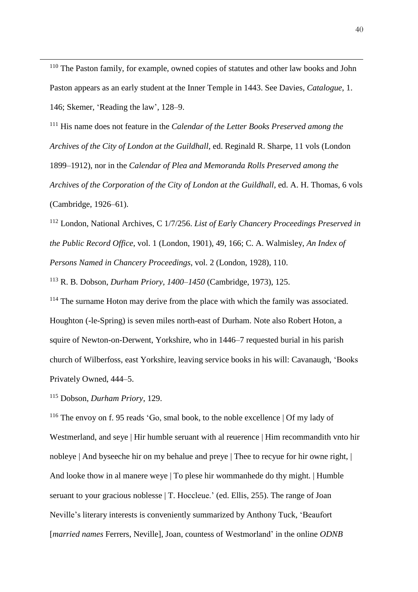<sup>110</sup> The Paston family, for example, owned copies of statutes and other law books and John Paston appears as an early student at the Inner Temple in 1443. See Davies, *Catalogue*, 1. 146; Skemer, 'Reading the law', 128–9.

<sup>111</sup> His name does not feature in the *Calendar of the Letter Books Preserved among the Archives of the City of London at the Guildhall*, ed. Reginald R. Sharpe, 11 vols (London 1899–1912), nor in the *Calendar of Plea and Memoranda Rolls Preserved among the Archives of the Corporation of the City of London at the Guildhall*, ed. A. H. Thomas, 6 vols (Cambridge, 1926–61).

<sup>112</sup> London, National Archives, C 1/7/256. *List of Early Chancery Proceedings Preserved in the Public Record Office*, vol. 1 (London, 1901), 49, 166; C. A. Walmisley, *An Index of Persons Named in Chancery Proceedings*, vol. 2 (London, 1928), 110.

<sup>113</sup> R. B. Dobson, *Durham Priory, 1400–1450* (Cambridge, 1973), 125.

<sup>114</sup> The surname Hoton may derive from the place with which the family was associated. Houghton (-le-Spring) is seven miles north-east of Durham. Note also Robert Hoton, a squire of Newton-on-Derwent, Yorkshire, who in 1446–7 requested burial in his parish church of Wilberfoss, east Yorkshire, leaving service books in his will: Cavanaugh, 'Books Privately Owned, 444–5.

<sup>115</sup> Dobson, *Durham Priory*, 129.

 $\overline{a}$ 

<sup>116</sup> The envoy on f. 95 reads 'Go, smal book, to the noble excellence | Of my lady of Westmerland, and seye | Hir humble seruant with al reuerence | Him recommandith vnto hir nobleye | And byseeche hir on my behalue and preye | Thee to recyue for hir owne right, | And looke thow in al manere weye | To plese hir wommanhede do thy might. | Humble seruant to your gracious noblesse | T. Hoccleue.' (ed. Ellis, 255). The range of Joan Neville's literary interests is conveniently summarized by Anthony Tuck, 'Beaufort [*married names* Ferrers, Neville], Joan, countess of Westmorland' in the online *ODNB*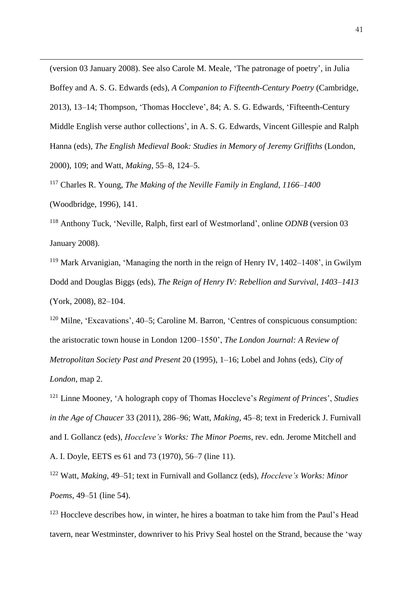(version 03 January 2008). See also Carole M. Meale, 'The patronage of poetry', in Julia Boffey and A. S. G. Edwards (eds), *A Companion to Fifteenth-Century Poetry* (Cambridge, 2013), 13–14; Thompson, 'Thomas Hoccleve', 84; A. S. G. Edwards, 'Fifteenth-Century Middle English verse author collections', in A. S. G. Edwards, Vincent Gillespie and Ralph Hanna (eds), *The English Medieval Book: Studies in Memory of Jeremy Griffiths* (London, 2000), 109; and Watt, *Making*, 55–8, 124–5.

<sup>117</sup> Charles R. Young, *The Making of the Neville Family in England, 1166–1400* (Woodbridge, 1996), 141.

 $\overline{a}$ 

<sup>118</sup> Anthony Tuck, 'Neville, Ralph, first earl of Westmorland', online *ODNB* (version 03 January 2008).

<sup>119</sup> Mark Arvanigian, 'Managing the north in the reign of Henry IV, 1402–1408', in Gwilym Dodd and Douglas Biggs (eds), *The Reign of Henry IV: Rebellion and Survival, 1403–1413* (York, 2008), 82–104.

<sup>120</sup> Milne, 'Excavations', 40–5; Caroline M. Barron, 'Centres of conspicuous consumption: the aristocratic town house in London 1200–1550', *The London Journal: A Review of Metropolitan Society Past and Present* 20 (1995), 1–16; Lobel and Johns (eds), *City of London*, map 2.

<sup>121</sup> Linne Mooney, 'A holograph copy of Thomas Hoccleve's *Regiment of Princes*', *Studies in the Age of Chaucer* 33 (2011), 286–96; Watt, *Making*, 45–8; text in Frederick J. Furnivall and I. Gollancz (eds), *Hoccleve's Works: The Minor Poems*, rev. edn. Jerome Mitchell and A. I. Doyle, EETS es 61 and 73 (1970), 56–7 (line 11).

<sup>122</sup> Watt, *Making*, 49–51; text in Furnivall and Gollancz (eds), *Hoccleve's Works: Minor Poems*, 49–51 (line 54).

 $123$  Hoccleve describes how, in winter, he hires a boatman to take him from the Paul's Head tavern, near Westminster, downriver to his Privy Seal hostel on the Strand, because the 'way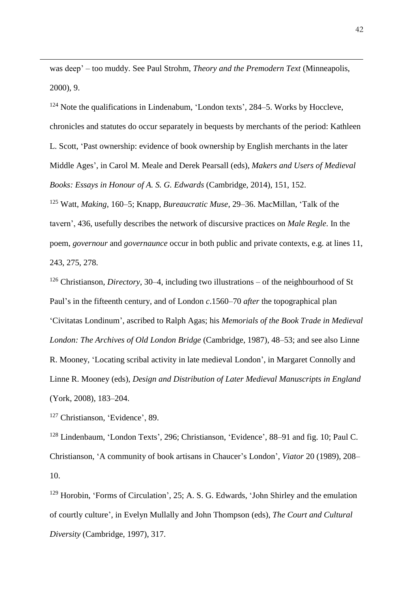was deep' – too muddy. See Paul Strohm, *Theory and the Premodern Text* (Minneapolis, 2000), 9.

<sup>124</sup> Note the qualifications in Lindenabum, 'London texts', 284–5. Works by Hoccleve, chronicles and statutes do occur separately in bequests by merchants of the period: Kathleen L. Scott, 'Past ownership: evidence of book ownership by English merchants in the later Middle Ages', in Carol M. Meale and Derek Pearsall (eds), *Makers and Users of Medieval Books: Essays in Honour of A. S. G. Edwards* (Cambridge, 2014), 151, 152.

<sup>125</sup> Watt, *Making*, 160–5; Knapp, *Bureaucratic Muse*, 29–36. MacMillan, 'Talk of the tavern', 436, usefully describes the network of discursive practices on *Male Regle*. In the poem, *governour* and *governaunce* occur in both public and private contexts, e.g. at lines 11, 243, 275, 278.

<sup>126</sup> Christianson, *Directory*, 30–4, including two illustrations – of the neighbourhood of St Paul's in the fifteenth century, and of London *c*.1560–70 *after* the topographical plan 'Civitatas Londinum', ascribed to Ralph Agas; his *Memorials of the Book Trade in Medieval London: The Archives of Old London Bridge* (Cambridge, 1987), 48–53; and see also Linne R. Mooney, 'Locating scribal activity in late medieval London', in Margaret Connolly and Linne R. Mooney (eds), *Design and Distribution of Later Medieval Manuscripts in England* (York, 2008), 183–204.

<sup>127</sup> Christianson, 'Evidence', 89.

 $\overline{a}$ 

<sup>128</sup> Lindenbaum, 'London Texts', 296; Christianson, 'Evidence', 88–91 and fig. 10; Paul C. Christianson, 'A community of book artisans in Chaucer's London', *Viator* 20 (1989), 208– 10.

<sup>129</sup> Horobin, 'Forms of Circulation', 25; A. S. G. Edwards, 'John Shirley and the emulation of courtly culture', in Evelyn Mullally and John Thompson (eds), *The Court and Cultural Diversity* (Cambridge, 1997), 317.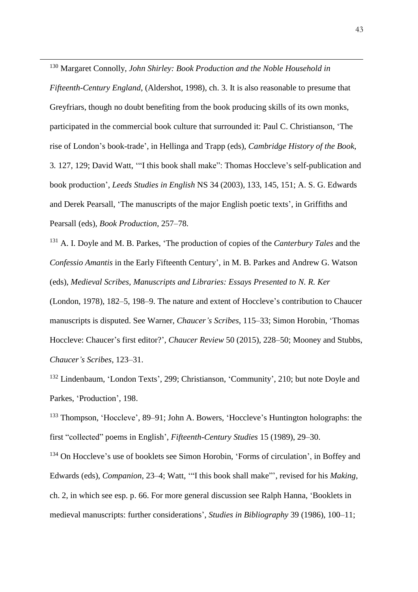<sup>130</sup> Margaret Connolly, *John Shirley: Book Production and the Noble Household in Fifteenth-Century England*, (Aldershot, 1998), ch. 3. It is also reasonable to presume that Greyfriars, though no doubt benefiting from the book producing skills of its own monks, participated in the commercial book culture that surrounded it: Paul C. Christianson, 'The rise of London's book-trade', in Hellinga and Trapp (eds), *Cambridge History of the Book*, 3*.* 127, 129; David Watt, '"I this book shall make": Thomas Hoccleve's self-publication and book production', *Leeds Studies in English* NS 34 (2003), 133, 145, 151; A. S. G. Edwards and Derek Pearsall, 'The manuscripts of the major English poetic texts', in Griffiths and Pearsall (eds), *Book Production*, 257–78.

 $\overline{a}$ 

<sup>131</sup> A. I. Doyle and M. B. Parkes, 'The production of copies of the *Canterbury Tales* and the *Confessio Amantis* in the Early Fifteenth Century', in M. B. Parkes and Andrew G. Watson (eds), *Medieval Scribes, Manuscripts and Libraries: Essays Presented to N. R. Ker*

(London, 1978), 182–5, 198–9. The nature and extent of Hoccleve's contribution to Chaucer manuscripts is disputed. See Warner, *Chaucer's Scribes*, 115–33; Simon Horobin, 'Thomas Hoccleve: Chaucer's first editor?', *Chaucer Review* 50 (2015), 228–50; Mooney and Stubbs, *Chaucer's Scribes*, 123–31.

<sup>132</sup> Lindenbaum, 'London Texts', 299; Christianson, 'Community', 210; but note Doyle and Parkes, 'Production', 198.

<sup>133</sup> Thompson, 'Hoccleve', 89–91; John A. Bowers, 'Hoccleve's Huntington holographs: the first "collected" poems in English', *Fifteenth-Century Studies* 15 (1989), 29–30.

<sup>134</sup> On Hoccleve's use of booklets see Simon Horobin, 'Forms of circulation', in Boffey and Edwards (eds), *Companion*, 23–4; Watt, '"I this book shall make"', revised for his *Making*, ch. 2, in which see esp. p. 66. For more general discussion see Ralph Hanna, 'Booklets in medieval manuscripts: further considerations', *Studies in Bibliography* 39 (1986), 100–11;